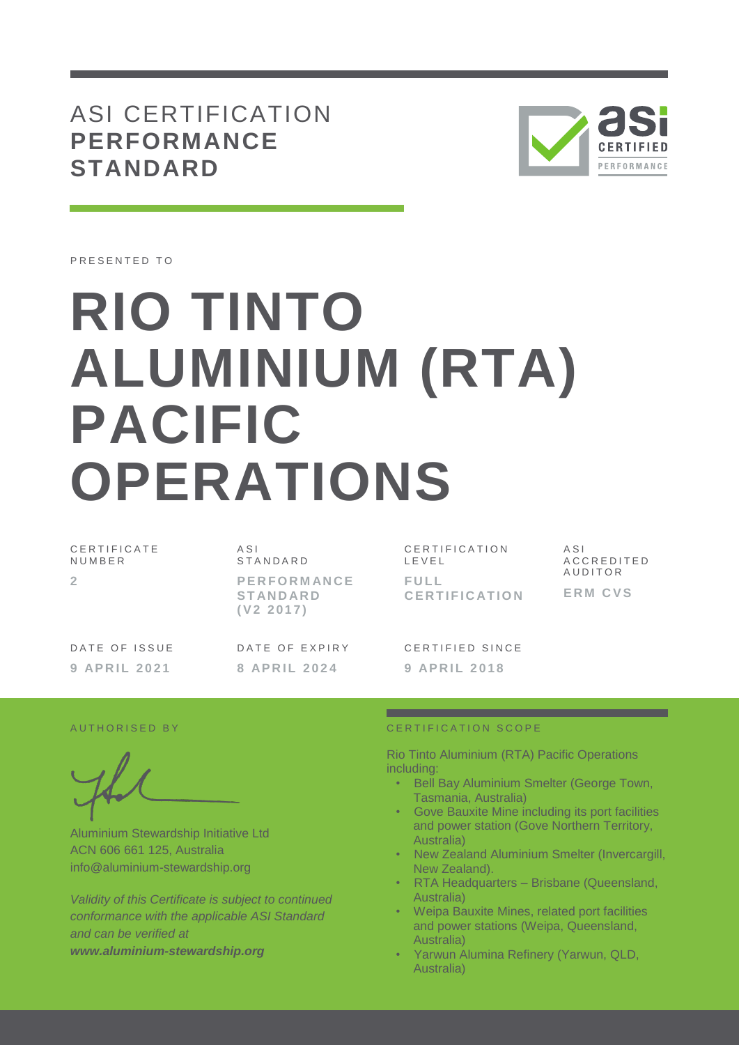ASI CERTIFICATION **PERFORMANCE STANDARD**



PRESENTED TO

# **RIO TINTO ALUMINIUM (RTA) PACIFIC OPERATIONS**

| CERTIFICATE<br>NUMBER | A SI<br>STANDARD                                   | CERTIFICATION<br>LEVEL       | ASI<br>ACCREDITED         |
|-----------------------|----------------------------------------------------|------------------------------|---------------------------|
|                       | <b>PERFORMANCE</b><br><b>STANDARD</b><br>(V2 2017) | FULL<br><b>CERTIFICATION</b> | AUDITOR<br><b>ERM CVS</b> |
| DATE OF ISSUE         | DATE OF EXPIRY                                     | CERTIFIED SINCE              |                           |
| 9 APRIL 2021          | 8 APRIL 2024                                       | 9 APRIL 2018                 |                           |

Aluminium Stewardship Initiative Ltd ACN 606 661 125, Australia info@aluminium-stewardship.org

*Validity of this Certificate is subject to continued conformance with the applicable ASI Standard and can be verified at www.aluminium-stewardship.org*

#### A UT HORISED BY CERTIFICATION SCOPE

Rio Tinto Aluminium (RTA) Pacific Operations including:

- Bell Bay Aluminium Smelter (George Town, Tasmania, Australia)
- Gove Bauxite Mine including its port facilities and power station (Gove Northern Territory, Australia)
- New Zealand Aluminium Smelter (Invercargill, New Zealand).
- RTA Headquarters Brisbane (Queensland, Australia)
- Weipa Bauxite Mines, related port facilities and power stations (Weipa, Queensland, Australia)
- Yarwun Alumina Refinery (Yarwun, QLD, Australia)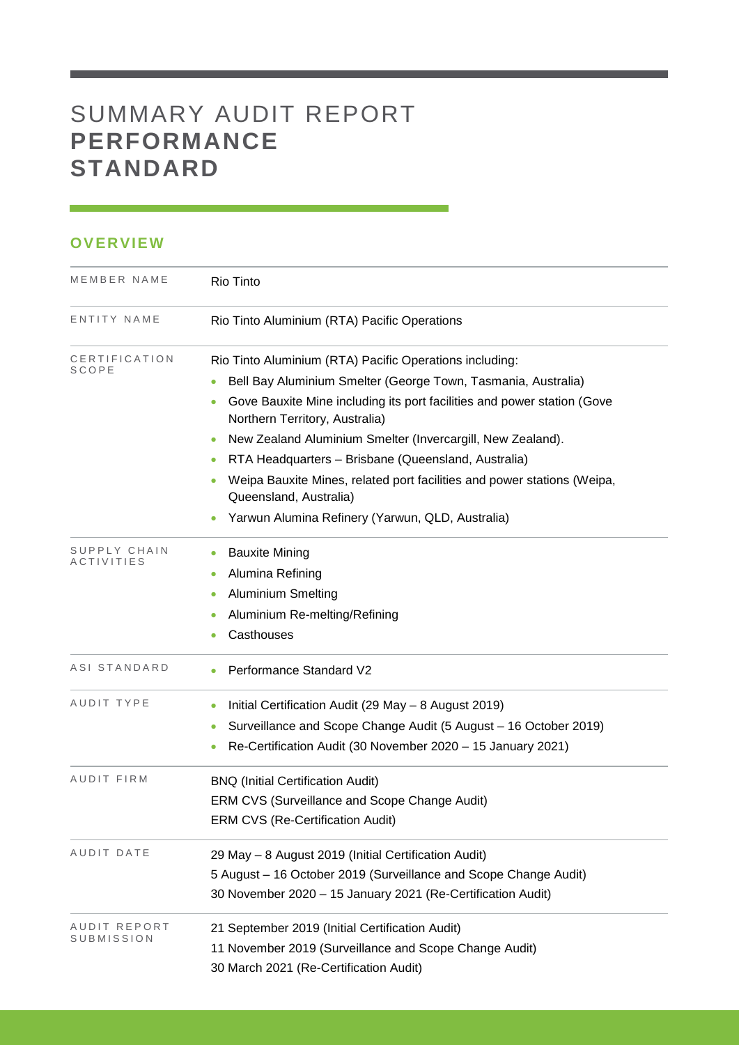# SUMMARY AUDIT REPORT **PERFORMANCE STANDARD**

## **OVERVIEW**

| MEMBER NAME                | Rio Tinto<br>Rio Tinto Aluminium (RTA) Pacific Operations                                                 |  |  |  |  |
|----------------------------|-----------------------------------------------------------------------------------------------------------|--|--|--|--|
| ENTITY NAME                |                                                                                                           |  |  |  |  |
| CERTIFICATION<br>SCOPE     | Rio Tinto Aluminium (RTA) Pacific Operations including:                                                   |  |  |  |  |
|                            | Bell Bay Aluminium Smelter (George Town, Tasmania, Australia)                                             |  |  |  |  |
|                            | Gove Bauxite Mine including its port facilities and power station (Gove<br>Northern Territory, Australia) |  |  |  |  |
|                            | New Zealand Aluminium Smelter (Invercargill, New Zealand).                                                |  |  |  |  |
|                            | RTA Headquarters - Brisbane (Queensland, Australia)<br>$\bullet$                                          |  |  |  |  |
|                            | Weipa Bauxite Mines, related port facilities and power stations (Weipa,<br>Queensland, Australia)         |  |  |  |  |
|                            | Yarwun Alumina Refinery (Yarwun, QLD, Australia)                                                          |  |  |  |  |
| SUPPLY CHAIN<br>ACTIVITIES | <b>Bauxite Mining</b><br>$\bullet$                                                                        |  |  |  |  |
|                            | Alumina Refining                                                                                          |  |  |  |  |
|                            | <b>Aluminium Smelting</b>                                                                                 |  |  |  |  |
|                            | Aluminium Re-melting/Refining                                                                             |  |  |  |  |
|                            | Casthouses                                                                                                |  |  |  |  |
| ASI STANDARD               | Performance Standard V2                                                                                   |  |  |  |  |
| AUDIT TYPE                 | Initial Certification Audit (29 May - 8 August 2019)<br>$\bullet$                                         |  |  |  |  |
|                            | Surveillance and Scope Change Audit (5 August - 16 October 2019)<br>$\bullet$                             |  |  |  |  |
|                            | Re-Certification Audit (30 November 2020 - 15 January 2021)<br>$\bullet$                                  |  |  |  |  |
| AUDIT FIRM                 | <b>BNQ (Initial Certification Audit)</b>                                                                  |  |  |  |  |
|                            | ERM CVS (Surveillance and Scope Change Audit)                                                             |  |  |  |  |
|                            | <b>ERM CVS (Re-Certification Audit)</b>                                                                   |  |  |  |  |
| AUDIT DATE                 | 29 May - 8 August 2019 (Initial Certification Audit)                                                      |  |  |  |  |
|                            | 5 August - 16 October 2019 (Surveillance and Scope Change Audit)                                          |  |  |  |  |
|                            | 30 November 2020 - 15 January 2021 (Re-Certification Audit)                                               |  |  |  |  |
| AUDIT REPORT<br>SUBMISSION | 21 September 2019 (Initial Certification Audit)                                                           |  |  |  |  |
|                            | 11 November 2019 (Surveillance and Scope Change Audit)                                                    |  |  |  |  |
|                            | 30 March 2021 (Re-Certification Audit)                                                                    |  |  |  |  |

and the control of the control of the control of the control of the control of the control of the control of the control of the control of the control of the control of the control of the control of the control of the cont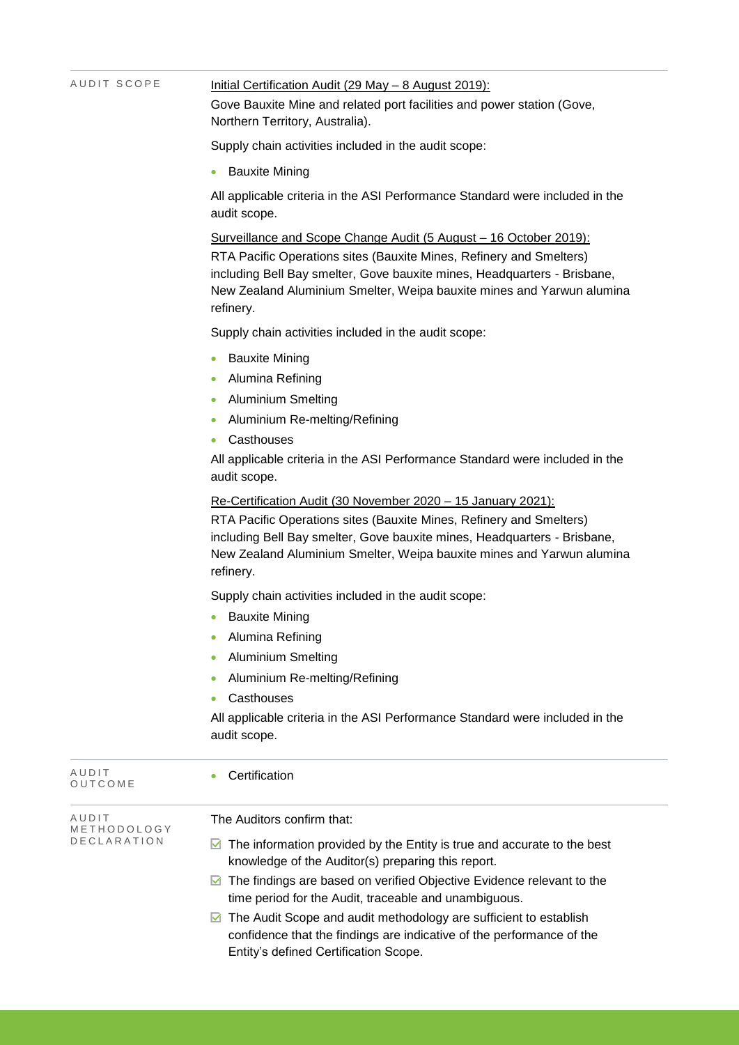| AUDIT SCOPE          | <u>Initial Certification Audit (29 May - 8 August 2019):</u><br>Gove Bauxite Mine and related port facilities and power station (Gove,<br>Northern Territory, Australia).<br>Supply chain activities included in the audit scope:<br><b>Bauxite Mining</b>                                                                                                                                            |  |  |  |  |
|----------------------|-------------------------------------------------------------------------------------------------------------------------------------------------------------------------------------------------------------------------------------------------------------------------------------------------------------------------------------------------------------------------------------------------------|--|--|--|--|
|                      |                                                                                                                                                                                                                                                                                                                                                                                                       |  |  |  |  |
|                      |                                                                                                                                                                                                                                                                                                                                                                                                       |  |  |  |  |
|                      | All applicable criteria in the ASI Performance Standard were included in the<br>audit scope.                                                                                                                                                                                                                                                                                                          |  |  |  |  |
|                      | Surveillance and Scope Change Audit (5 August - 16 October 2019):<br>RTA Pacific Operations sites (Bauxite Mines, Refinery and Smelters)<br>including Bell Bay smelter, Gove bauxite mines, Headquarters - Brisbane,<br>New Zealand Aluminium Smelter, Weipa bauxite mines and Yarwun alumina<br>refinery.                                                                                            |  |  |  |  |
|                      | Supply chain activities included in the audit scope:                                                                                                                                                                                                                                                                                                                                                  |  |  |  |  |
|                      | <b>Bauxite Mining</b>                                                                                                                                                                                                                                                                                                                                                                                 |  |  |  |  |
|                      | Alumina Refining                                                                                                                                                                                                                                                                                                                                                                                      |  |  |  |  |
|                      | <b>Aluminium Smelting</b>                                                                                                                                                                                                                                                                                                                                                                             |  |  |  |  |
|                      | Aluminium Re-melting/Refining                                                                                                                                                                                                                                                                                                                                                                         |  |  |  |  |
|                      | Casthouses                                                                                                                                                                                                                                                                                                                                                                                            |  |  |  |  |
|                      | All applicable criteria in the ASI Performance Standard were included in the<br>audit scope.<br>Re-Certification Audit (30 November 2020 - 15 January 2021):<br>RTA Pacific Operations sites (Bauxite Mines, Refinery and Smelters)<br>including Bell Bay smelter, Gove bauxite mines, Headquarters - Brisbane,<br>New Zealand Aluminium Smelter, Weipa bauxite mines and Yarwun alumina<br>refinery. |  |  |  |  |
|                      |                                                                                                                                                                                                                                                                                                                                                                                                       |  |  |  |  |
|                      | Supply chain activities included in the audit scope:                                                                                                                                                                                                                                                                                                                                                  |  |  |  |  |
|                      | • Bauxite Mining                                                                                                                                                                                                                                                                                                                                                                                      |  |  |  |  |
|                      | Alumina Refining                                                                                                                                                                                                                                                                                                                                                                                      |  |  |  |  |
|                      | <b>Aluminium Smelting</b>                                                                                                                                                                                                                                                                                                                                                                             |  |  |  |  |
|                      | Aluminium Re-melting/Refining                                                                                                                                                                                                                                                                                                                                                                         |  |  |  |  |
|                      | Casthouses                                                                                                                                                                                                                                                                                                                                                                                            |  |  |  |  |
|                      | All applicable criteria in the ASI Performance Standard were included in the<br>audit scope.                                                                                                                                                                                                                                                                                                          |  |  |  |  |
| AUDIT<br>OUTCOME     | Certification                                                                                                                                                                                                                                                                                                                                                                                         |  |  |  |  |
| AUDIT<br>METHODOLOGY | The Auditors confirm that:                                                                                                                                                                                                                                                                                                                                                                            |  |  |  |  |
| DECLARATION          | $\blacksquare$ The information provided by the Entity is true and accurate to the best<br>knowledge of the Auditor(s) preparing this report.                                                                                                                                                                                                                                                          |  |  |  |  |
|                      | ◘ The findings are based on verified Objective Evidence relevant to the<br>time period for the Audit, traceable and unambiguous.                                                                                                                                                                                                                                                                      |  |  |  |  |
|                      | The Audit Scope and audit methodology are sufficient to establish<br>M                                                                                                                                                                                                                                                                                                                                |  |  |  |  |
|                      | confidence that the findings are indicative of the performance of the<br>Entity's defined Certification Scope.                                                                                                                                                                                                                                                                                        |  |  |  |  |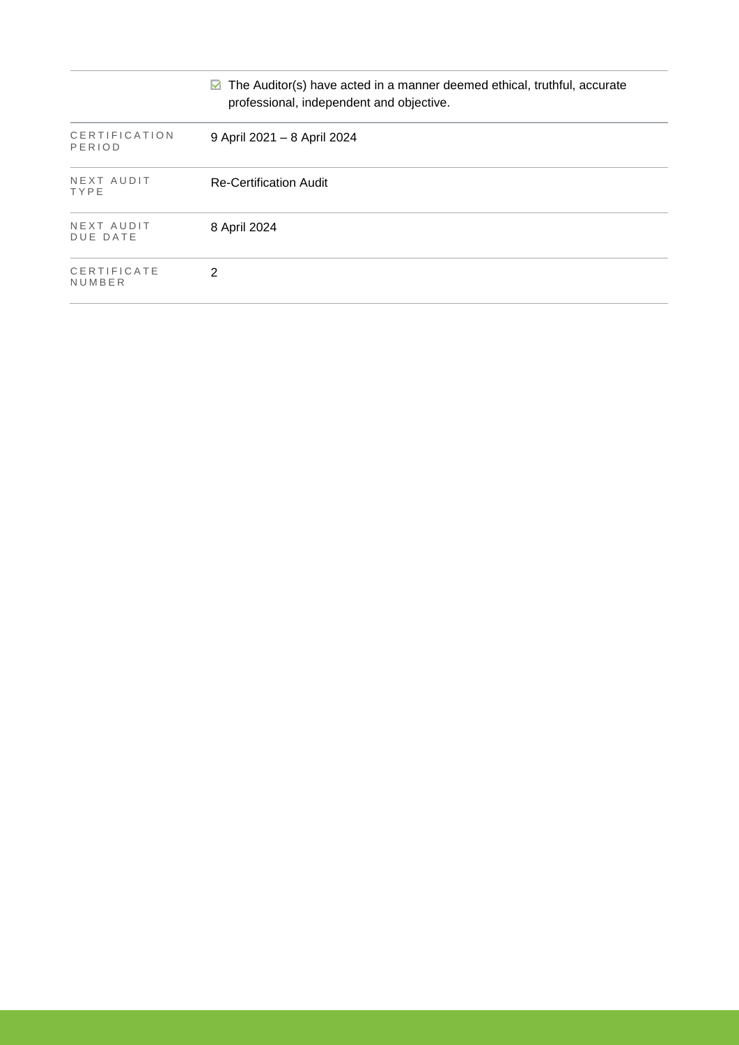|                               | $\blacksquare$ The Auditor(s) have acted in a manner deemed ethical, truthful, accurate<br>professional, independent and objective. |
|-------------------------------|-------------------------------------------------------------------------------------------------------------------------------------|
| CERTIFICATION<br>PERIOD       | 9 April 2021 - 8 April 2024                                                                                                         |
| NEXT AUDIT<br>TYPE            | Re-Certification Audit                                                                                                              |
| NEXT AUDIT<br><b>DUE DATE</b> | 8 April 2024                                                                                                                        |
| CERTIFICATE<br>NUMBER         | 2                                                                                                                                   |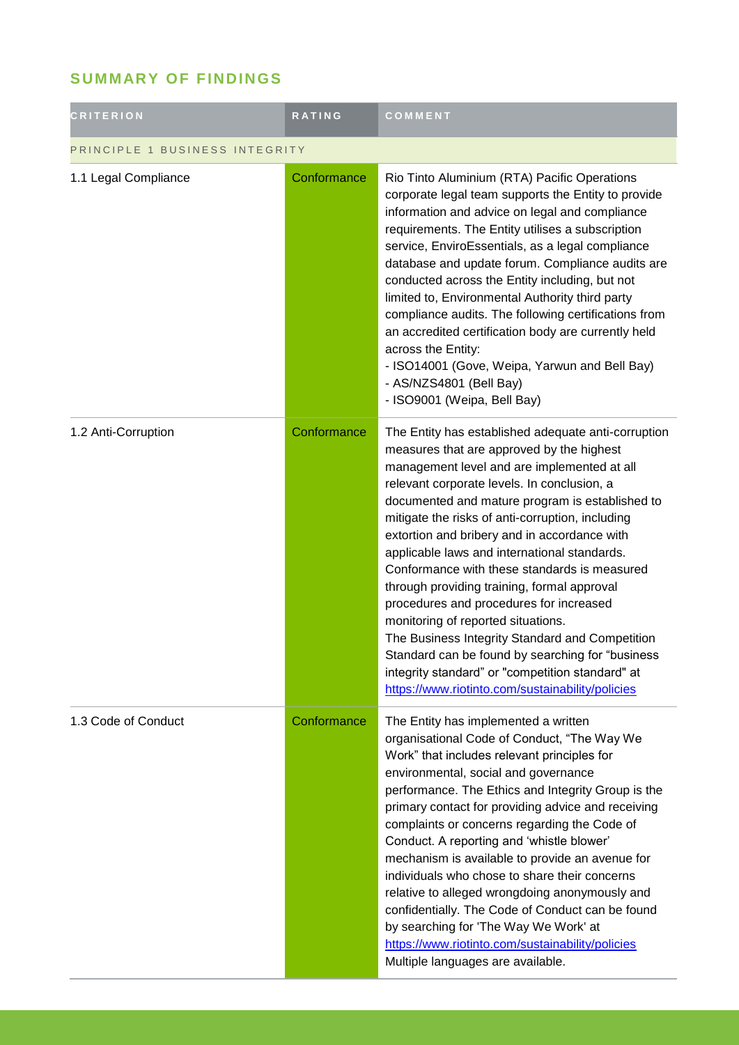# **SUMMARY OF FINDINGS**

| <b>CRITERION</b>               | <b>RATING</b> | COMMENT                                                                                                                                                                                                                                                                                                                                                                                                                                                                                                                                                                                                                                                                                                                                                                                              |  |
|--------------------------------|---------------|------------------------------------------------------------------------------------------------------------------------------------------------------------------------------------------------------------------------------------------------------------------------------------------------------------------------------------------------------------------------------------------------------------------------------------------------------------------------------------------------------------------------------------------------------------------------------------------------------------------------------------------------------------------------------------------------------------------------------------------------------------------------------------------------------|--|
| PRINCIPLE 1 BUSINESS INTEGRITY |               |                                                                                                                                                                                                                                                                                                                                                                                                                                                                                                                                                                                                                                                                                                                                                                                                      |  |
| 1.1 Legal Compliance           | Conformance   | Rio Tinto Aluminium (RTA) Pacific Operations<br>corporate legal team supports the Entity to provide<br>information and advice on legal and compliance<br>requirements. The Entity utilises a subscription<br>service, EnviroEssentials, as a legal compliance<br>database and update forum. Compliance audits are<br>conducted across the Entity including, but not<br>limited to, Environmental Authority third party<br>compliance audits. The following certifications from<br>an accredited certification body are currently held<br>across the Entity:<br>- ISO14001 (Gove, Weipa, Yarwun and Bell Bay)<br>- AS/NZS4801 (Bell Bay)<br>- ISO9001 (Weipa, Bell Bay)                                                                                                                               |  |
| 1.2 Anti-Corruption            | Conformance   | The Entity has established adequate anti-corruption<br>measures that are approved by the highest<br>management level and are implemented at all<br>relevant corporate levels. In conclusion, a<br>documented and mature program is established to<br>mitigate the risks of anti-corruption, including<br>extortion and bribery and in accordance with<br>applicable laws and international standards.<br>Conformance with these standards is measured<br>through providing training, formal approval<br>procedures and procedures for increased<br>monitoring of reported situations.<br>The Business Integrity Standard and Competition<br>Standard can be found by searching for "business<br>integrity standard" or "competition standard" at<br>https://www.riotinto.com/sustainability/policies |  |
| 1.3 Code of Conduct            | Conformance   | The Entity has implemented a written<br>organisational Code of Conduct, "The Way We<br>Work" that includes relevant principles for<br>environmental, social and governance<br>performance. The Ethics and Integrity Group is the<br>primary contact for providing advice and receiving<br>complaints or concerns regarding the Code of<br>Conduct. A reporting and 'whistle blower'<br>mechanism is available to provide an avenue for<br>individuals who chose to share their concerns<br>relative to alleged wrongdoing anonymously and<br>confidentially. The Code of Conduct can be found<br>by searching for 'The Way We Work' at<br>https://www.riotinto.com/sustainability/policies<br>Multiple languages are available.                                                                      |  |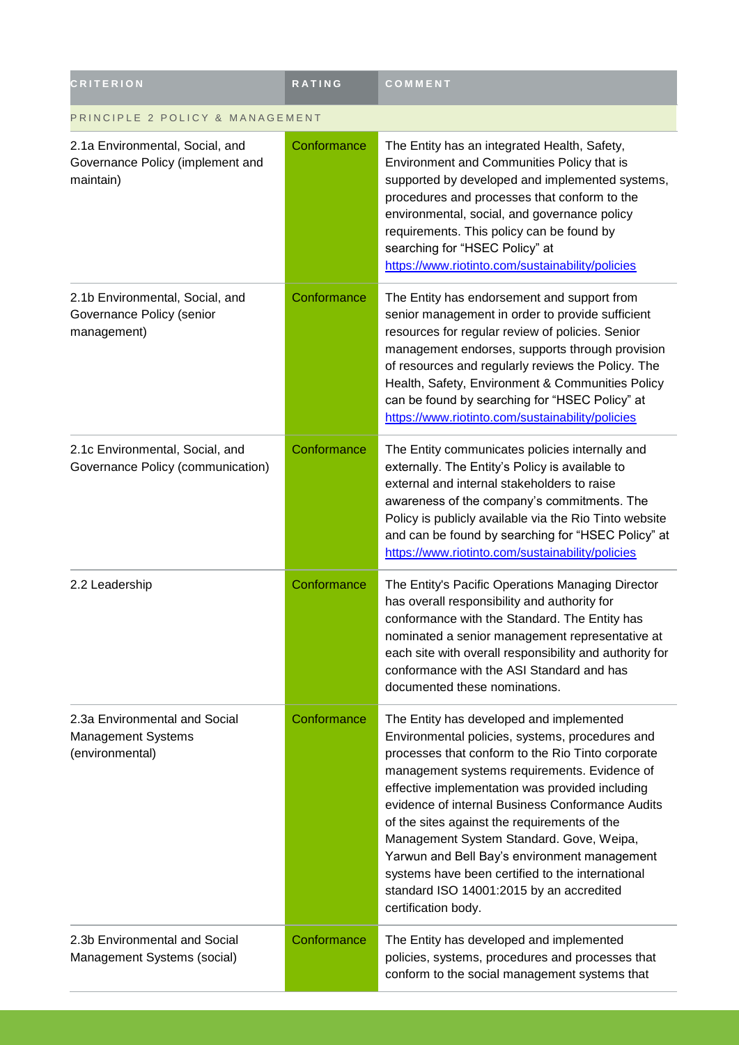| <b>CRITERION</b>                                                                 | RATING      | COMMENT                                                                                                                                                                                                                                                                                                                                                                                                                                                                                                                                                                    |  |
|----------------------------------------------------------------------------------|-------------|----------------------------------------------------------------------------------------------------------------------------------------------------------------------------------------------------------------------------------------------------------------------------------------------------------------------------------------------------------------------------------------------------------------------------------------------------------------------------------------------------------------------------------------------------------------------------|--|
| PRINCIPLE 2 POLICY & MANAGEMENT                                                  |             |                                                                                                                                                                                                                                                                                                                                                                                                                                                                                                                                                                            |  |
| 2.1a Environmental, Social, and<br>Governance Policy (implement and<br>maintain) | Conformance | The Entity has an integrated Health, Safety,<br>Environment and Communities Policy that is<br>supported by developed and implemented systems,<br>procedures and processes that conform to the<br>environmental, social, and governance policy<br>requirements. This policy can be found by<br>searching for "HSEC Policy" at<br>https://www.riotinto.com/sustainability/policies                                                                                                                                                                                           |  |
| 2.1b Environmental, Social, and<br>Governance Policy (senior<br>management)      | Conformance | The Entity has endorsement and support from<br>senior management in order to provide sufficient<br>resources for regular review of policies. Senior<br>management endorses, supports through provision<br>of resources and regularly reviews the Policy. The<br>Health, Safety, Environment & Communities Policy<br>can be found by searching for "HSEC Policy" at<br>https://www.riotinto.com/sustainability/policies                                                                                                                                                     |  |
| 2.1c Environmental, Social, and<br>Governance Policy (communication)             | Conformance | The Entity communicates policies internally and<br>externally. The Entity's Policy is available to<br>external and internal stakeholders to raise<br>awareness of the company's commitments. The<br>Policy is publicly available via the Rio Tinto website<br>and can be found by searching for "HSEC Policy" at<br>https://www.riotinto.com/sustainability/policies                                                                                                                                                                                                       |  |
| 2.2 Leadership                                                                   | Conformance | The Entity's Pacific Operations Managing Director<br>has overall responsibility and authority for<br>conformance with the Standard. The Entity has<br>nominated a senior management representative at<br>each site with overall responsibility and authority for<br>conformance with the ASI Standard and has<br>documented these nominations.                                                                                                                                                                                                                             |  |
| 2.3a Environmental and Social<br>Management Systems<br>(environmental)           | Conformance | The Entity has developed and implemented<br>Environmental policies, systems, procedures and<br>processes that conform to the Rio Tinto corporate<br>management systems requirements. Evidence of<br>effective implementation was provided including<br>evidence of internal Business Conformance Audits<br>of the sites against the requirements of the<br>Management System Standard. Gove, Weipa,<br>Yarwun and Bell Bay's environment management<br>systems have been certified to the international<br>standard ISO 14001:2015 by an accredited<br>certification body. |  |
| 2.3b Environmental and Social<br>Management Systems (social)                     | Conformance | The Entity has developed and implemented<br>policies, systems, procedures and processes that<br>conform to the social management systems that                                                                                                                                                                                                                                                                                                                                                                                                                              |  |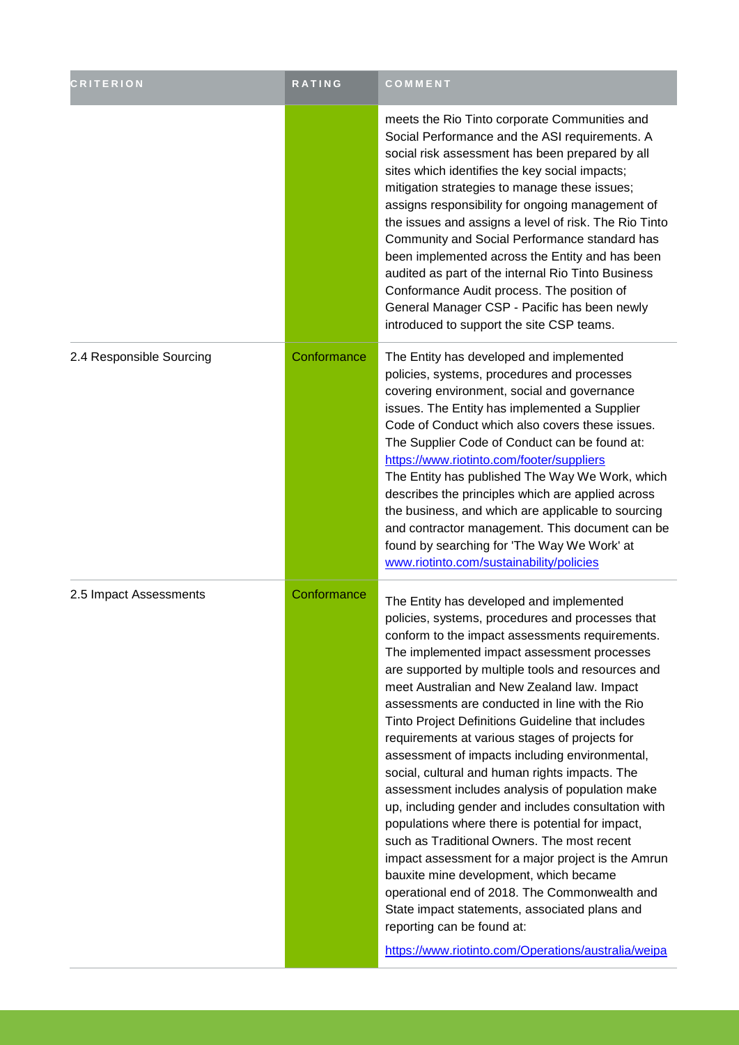| <b>CRITERION</b>         | <b>RATING</b> | COMMENT                                                                                                                                                                                                                                                                                                                                                                                                                                                                                                                                                                                                                                                                                                                                                                                                                                                                                                                                                                                                                                                             |
|--------------------------|---------------|---------------------------------------------------------------------------------------------------------------------------------------------------------------------------------------------------------------------------------------------------------------------------------------------------------------------------------------------------------------------------------------------------------------------------------------------------------------------------------------------------------------------------------------------------------------------------------------------------------------------------------------------------------------------------------------------------------------------------------------------------------------------------------------------------------------------------------------------------------------------------------------------------------------------------------------------------------------------------------------------------------------------------------------------------------------------|
|                          |               | meets the Rio Tinto corporate Communities and<br>Social Performance and the ASI requirements. A<br>social risk assessment has been prepared by all<br>sites which identifies the key social impacts;<br>mitigation strategies to manage these issues;<br>assigns responsibility for ongoing management of<br>the issues and assigns a level of risk. The Rio Tinto<br>Community and Social Performance standard has<br>been implemented across the Entity and has been<br>audited as part of the internal Rio Tinto Business<br>Conformance Audit process. The position of<br>General Manager CSP - Pacific has been newly<br>introduced to support the site CSP teams.                                                                                                                                                                                                                                                                                                                                                                                             |
| 2.4 Responsible Sourcing | Conformance   | The Entity has developed and implemented<br>policies, systems, procedures and processes<br>covering environment, social and governance<br>issues. The Entity has implemented a Supplier<br>Code of Conduct which also covers these issues.<br>The Supplier Code of Conduct can be found at:<br>https://www.riotinto.com/footer/suppliers<br>The Entity has published The Way We Work, which<br>describes the principles which are applied across<br>the business, and which are applicable to sourcing<br>and contractor management. This document can be<br>found by searching for 'The Way We Work' at<br>www.riotinto.com/sustainability/policies                                                                                                                                                                                                                                                                                                                                                                                                                |
| 2.5 Impact Assessments   | Conformance   | The Entity has developed and implemented<br>policies, systems, procedures and processes that<br>conform to the impact assessments requirements.<br>The implemented impact assessment processes<br>are supported by multiple tools and resources and<br>meet Australian and New Zealand law. Impact<br>assessments are conducted in line with the Rio<br>Tinto Project Definitions Guideline that includes<br>requirements at various stages of projects for<br>assessment of impacts including environmental,<br>social, cultural and human rights impacts. The<br>assessment includes analysis of population make<br>up, including gender and includes consultation with<br>populations where there is potential for impact,<br>such as Traditional Owners. The most recent<br>impact assessment for a major project is the Amrun<br>bauxite mine development, which became<br>operational end of 2018. The Commonwealth and<br>State impact statements, associated plans and<br>reporting can be found at:<br>https://www.riotinto.com/Operations/australia/weipa |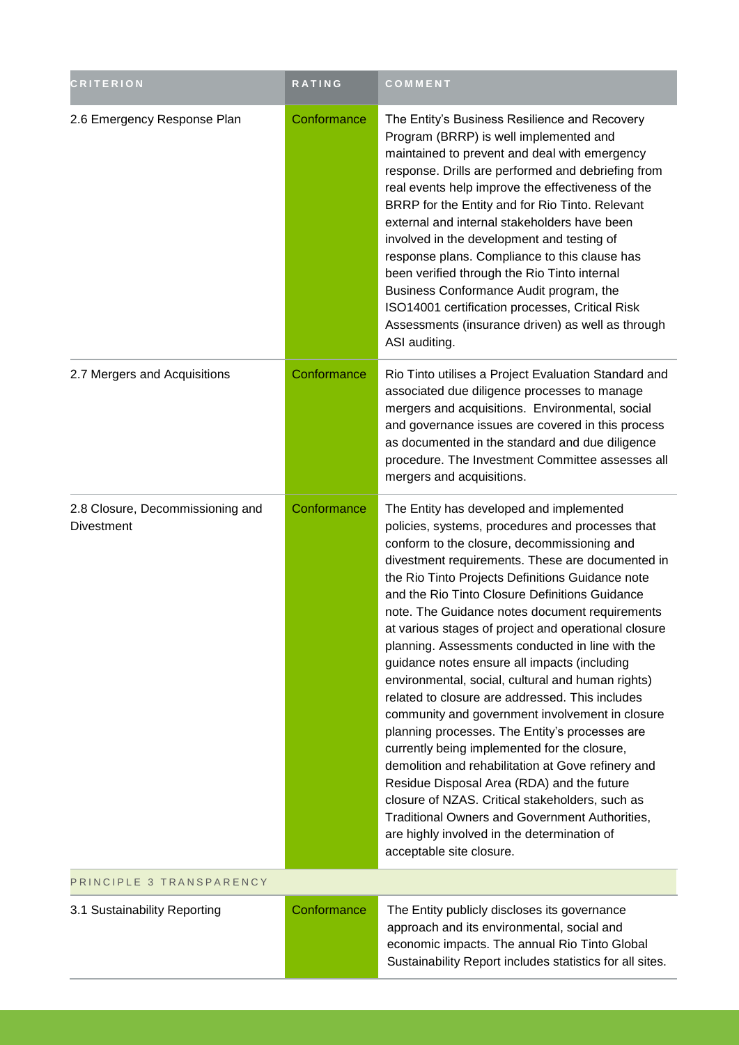| <b>CRITERION</b>                                      | RATING      | COMMENT                                                                                                                                                                                                                                                                                                                                                                                                                                                                                                                                                                                                                                                                                                                                                                                                                                                                                                                                                                                                                                                                     |
|-------------------------------------------------------|-------------|-----------------------------------------------------------------------------------------------------------------------------------------------------------------------------------------------------------------------------------------------------------------------------------------------------------------------------------------------------------------------------------------------------------------------------------------------------------------------------------------------------------------------------------------------------------------------------------------------------------------------------------------------------------------------------------------------------------------------------------------------------------------------------------------------------------------------------------------------------------------------------------------------------------------------------------------------------------------------------------------------------------------------------------------------------------------------------|
| 2.6 Emergency Response Plan                           | Conformance | The Entity's Business Resilience and Recovery<br>Program (BRRP) is well implemented and<br>maintained to prevent and deal with emergency<br>response. Drills are performed and debriefing from<br>real events help improve the effectiveness of the<br>BRRP for the Entity and for Rio Tinto. Relevant<br>external and internal stakeholders have been<br>involved in the development and testing of<br>response plans. Compliance to this clause has<br>been verified through the Rio Tinto internal<br>Business Conformance Audit program, the<br>ISO14001 certification processes, Critical Risk<br>Assessments (insurance driven) as well as through<br>ASI auditing.                                                                                                                                                                                                                                                                                                                                                                                                   |
| 2.7 Mergers and Acquisitions                          | Conformance | Rio Tinto utilises a Project Evaluation Standard and<br>associated due diligence processes to manage<br>mergers and acquisitions. Environmental, social<br>and governance issues are covered in this process<br>as documented in the standard and due diligence<br>procedure. The Investment Committee assesses all<br>mergers and acquisitions.                                                                                                                                                                                                                                                                                                                                                                                                                                                                                                                                                                                                                                                                                                                            |
| 2.8 Closure, Decommissioning and<br><b>Divestment</b> | Conformance | The Entity has developed and implemented<br>policies, systems, procedures and processes that<br>conform to the closure, decommissioning and<br>divestment requirements. These are documented in<br>the Rio Tinto Projects Definitions Guidance note<br>and the Rio Tinto Closure Definitions Guidance<br>note. The Guidance notes document requirements<br>at various stages of project and operational closure<br>planning. Assessments conducted in line with the<br>guidance notes ensure all impacts (including<br>environmental, social, cultural and human rights)<br>related to closure are addressed. This includes<br>community and government involvement in closure<br>planning processes. The Entity's processes are<br>currently being implemented for the closure,<br>demolition and rehabilitation at Gove refinery and<br>Residue Disposal Area (RDA) and the future<br>closure of NZAS. Critical stakeholders, such as<br><b>Traditional Owners and Government Authorities,</b><br>are highly involved in the determination of<br>acceptable site closure. |
| PRINCIPLE 3 TRANSPARENCY                              |             |                                                                                                                                                                                                                                                                                                                                                                                                                                                                                                                                                                                                                                                                                                                                                                                                                                                                                                                                                                                                                                                                             |
| 3.1 Sustainability Reporting                          | Conformance | The Entity publicly discloses its governance<br>approach and its environmental, social and                                                                                                                                                                                                                                                                                                                                                                                                                                                                                                                                                                                                                                                                                                                                                                                                                                                                                                                                                                                  |

economic impacts. The annual Rio Tinto Global Sustainability Report includes statistics for all sites.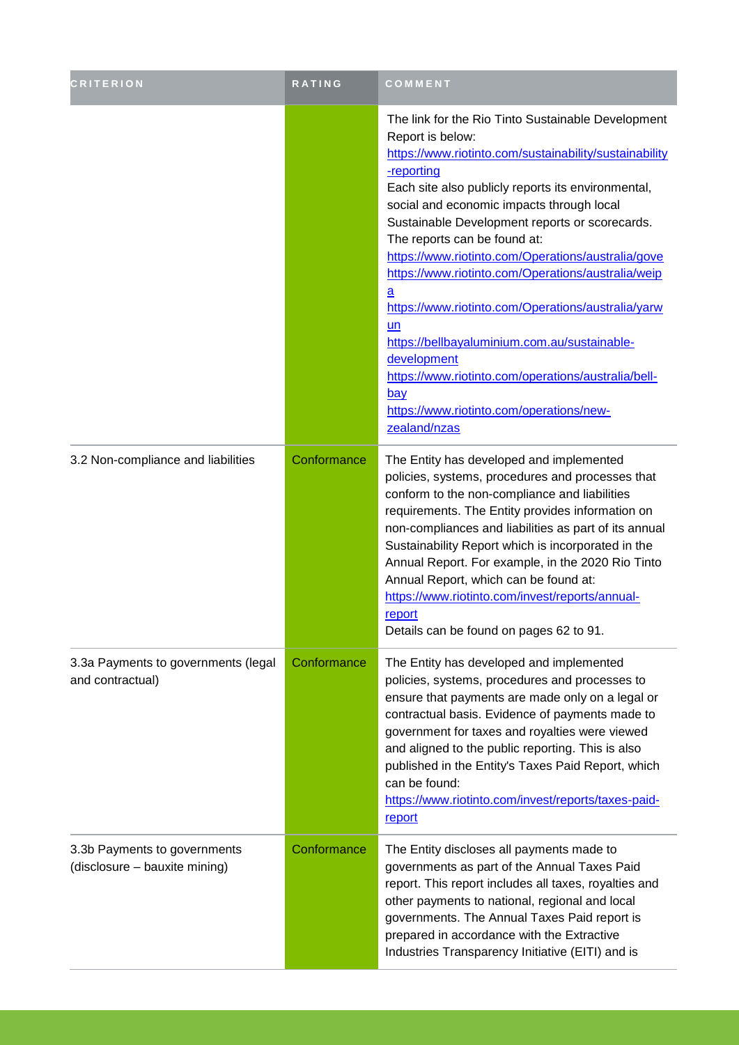| <b>CRITERION</b>                                              | RATING      | COMMENT                                                                                                                                                                                                                                                                                                                                                                                                                                                                                                                                                                                                                                                                                                                 |
|---------------------------------------------------------------|-------------|-------------------------------------------------------------------------------------------------------------------------------------------------------------------------------------------------------------------------------------------------------------------------------------------------------------------------------------------------------------------------------------------------------------------------------------------------------------------------------------------------------------------------------------------------------------------------------------------------------------------------------------------------------------------------------------------------------------------------|
|                                                               |             | The link for the Rio Tinto Sustainable Development<br>Report is below:<br>https://www.riotinto.com/sustainability/sustainability<br>-reporting<br>Each site also publicly reports its environmental,<br>social and economic impacts through local<br>Sustainable Development reports or scorecards.<br>The reports can be found at:<br>https://www.riotinto.com/Operations/australia/gove<br>https://www.riotinto.com/Operations/australia/weip<br>$\underline{a}$<br>https://www.riotinto.com/Operations/australia/yarw<br>un<br>https://bellbayaluminium.com.au/sustainable-<br>development<br>https://www.riotinto.com/operations/australia/bell-<br>bay<br>https://www.riotinto.com/operations/new-<br>zealand/nzas |
| 3.2 Non-compliance and liabilities                            | Conformance | The Entity has developed and implemented<br>policies, systems, procedures and processes that<br>conform to the non-compliance and liabilities<br>requirements. The Entity provides information on<br>non-compliances and liabilities as part of its annual<br>Sustainability Report which is incorporated in the<br>Annual Report. For example, in the 2020 Rio Tinto<br>Annual Report, which can be found at:<br>https://www.riotinto.com/invest/reports/annual-<br>report<br>Details can be found on pages 62 to 91.                                                                                                                                                                                                  |
| 3.3a Payments to governments (legal<br>and contractual)       | Conformance | The Entity has developed and implemented<br>policies, systems, procedures and processes to<br>ensure that payments are made only on a legal or<br>contractual basis. Evidence of payments made to<br>government for taxes and royalties were viewed<br>and aligned to the public reporting. This is also<br>published in the Entity's Taxes Paid Report, which<br>can be found:<br>https://www.riotinto.com/invest/reports/taxes-paid-<br>report                                                                                                                                                                                                                                                                        |
| 3.3b Payments to governments<br>(disclosure - bauxite mining) | Conformance | The Entity discloses all payments made to<br>governments as part of the Annual Taxes Paid<br>report. This report includes all taxes, royalties and<br>other payments to national, regional and local<br>governments. The Annual Taxes Paid report is<br>prepared in accordance with the Extractive<br>Industries Transparency Initiative (EITI) and is                                                                                                                                                                                                                                                                                                                                                                  |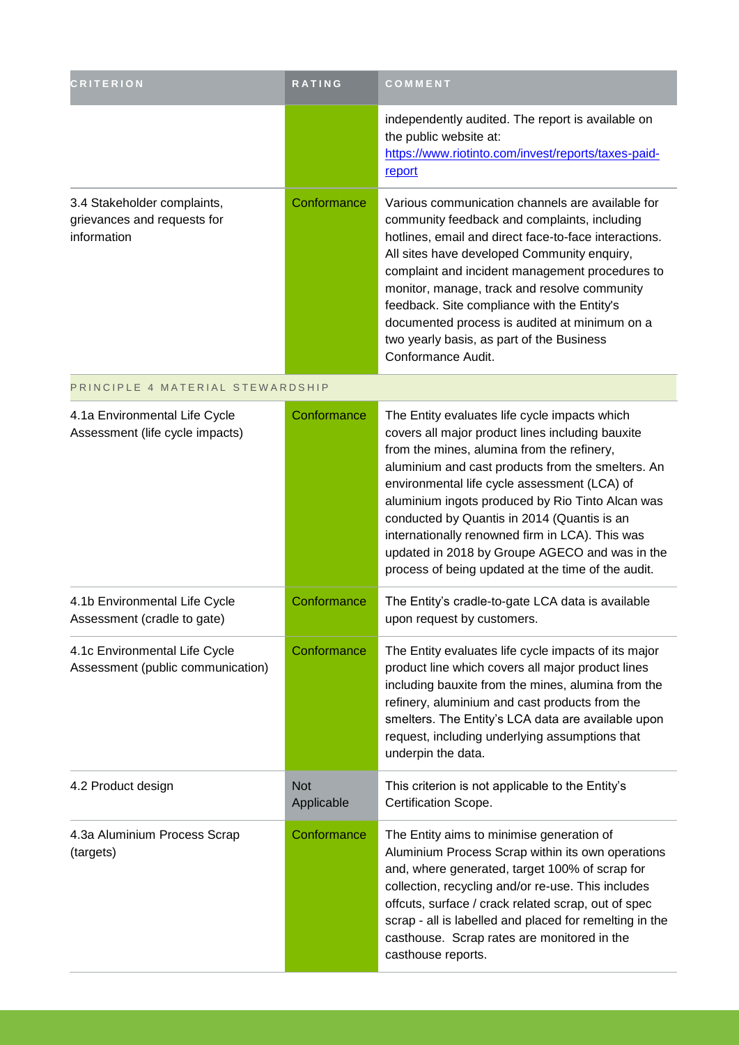| <b>CRITERION</b>                                                          | RATING                   | COMMENT                                                                                                                                                                                                                                                                                                                                                                                                                                                                                                            |
|---------------------------------------------------------------------------|--------------------------|--------------------------------------------------------------------------------------------------------------------------------------------------------------------------------------------------------------------------------------------------------------------------------------------------------------------------------------------------------------------------------------------------------------------------------------------------------------------------------------------------------------------|
|                                                                           |                          | independently audited. The report is available on<br>the public website at:<br>https://www.riotinto.com/invest/reports/taxes-paid-<br>report                                                                                                                                                                                                                                                                                                                                                                       |
| 3.4 Stakeholder complaints,<br>grievances and requests for<br>information | Conformance              | Various communication channels are available for<br>community feedback and complaints, including<br>hotlines, email and direct face-to-face interactions.<br>All sites have developed Community enquiry,<br>complaint and incident management procedures to<br>monitor, manage, track and resolve community<br>feedback. Site compliance with the Entity's<br>documented process is audited at minimum on a<br>two yearly basis, as part of the Business<br>Conformance Audit.                                     |
| PRINCIPLE 4 MATERIAL STEWARDSHIP                                          |                          |                                                                                                                                                                                                                                                                                                                                                                                                                                                                                                                    |
| 4.1a Environmental Life Cycle<br>Assessment (life cycle impacts)          | Conformance              | The Entity evaluates life cycle impacts which<br>covers all major product lines including bauxite<br>from the mines, alumina from the refinery,<br>aluminium and cast products from the smelters. An<br>environmental life cycle assessment (LCA) of<br>aluminium ingots produced by Rio Tinto Alcan was<br>conducted by Quantis in 2014 (Quantis is an<br>internationally renowned firm in LCA). This was<br>updated in 2018 by Groupe AGECO and was in the<br>process of being updated at the time of the audit. |
| 4.1b Environmental Life Cycle<br>Assessment (cradle to gate)              | Conformance              | The Entity's cradle-to-gate LCA data is available<br>upon request by customers.                                                                                                                                                                                                                                                                                                                                                                                                                                    |
| 4.1c Environmental Life Cycle<br>Assessment (public communication)        | Conformance              | The Entity evaluates life cycle impacts of its major<br>product line which covers all major product lines<br>including bauxite from the mines, alumina from the<br>refinery, aluminium and cast products from the<br>smelters. The Entity's LCA data are available upon<br>request, including underlying assumptions that<br>underpin the data.                                                                                                                                                                    |
| 4.2 Product design                                                        | <b>Not</b><br>Applicable | This criterion is not applicable to the Entity's<br>Certification Scope.                                                                                                                                                                                                                                                                                                                                                                                                                                           |
| 4.3a Aluminium Process Scrap<br>(targets)                                 | Conformance              | The Entity aims to minimise generation of<br>Aluminium Process Scrap within its own operations<br>and, where generated, target 100% of scrap for<br>collection, recycling and/or re-use. This includes<br>offcuts, surface / crack related scrap, out of spec<br>scrap - all is labelled and placed for remelting in the<br>casthouse. Scrap rates are monitored in the<br>casthouse reports.                                                                                                                      |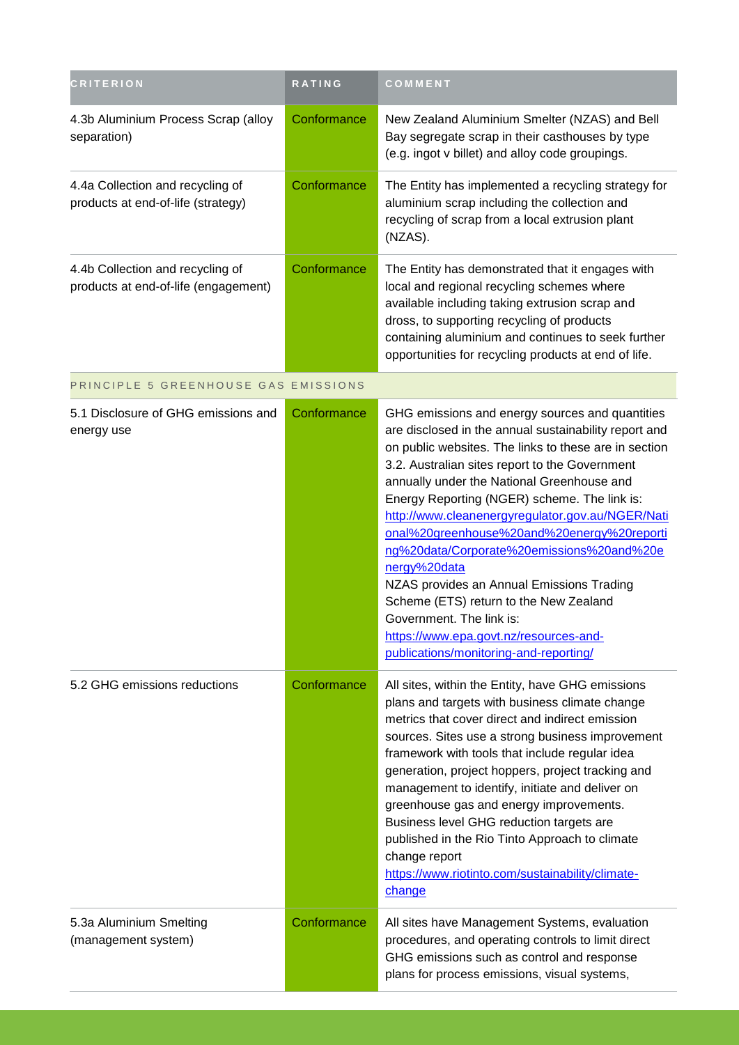| <b>CRITERION</b>                                                         | <b>RATING</b> | COMMENT                                                                                                                                                                                                                                                                                                                                                                                                                                                                                                                                                                                                                                                                                 |
|--------------------------------------------------------------------------|---------------|-----------------------------------------------------------------------------------------------------------------------------------------------------------------------------------------------------------------------------------------------------------------------------------------------------------------------------------------------------------------------------------------------------------------------------------------------------------------------------------------------------------------------------------------------------------------------------------------------------------------------------------------------------------------------------------------|
| 4.3b Aluminium Process Scrap (alloy<br>separation)                       | Conformance   | New Zealand Aluminium Smelter (NZAS) and Bell<br>Bay segregate scrap in their casthouses by type<br>(e.g. ingot v billet) and alloy code groupings.                                                                                                                                                                                                                                                                                                                                                                                                                                                                                                                                     |
| 4.4a Collection and recycling of<br>products at end-of-life (strategy)   | Conformance   | The Entity has implemented a recycling strategy for<br>aluminium scrap including the collection and<br>recycling of scrap from a local extrusion plant<br>(NZAS).                                                                                                                                                                                                                                                                                                                                                                                                                                                                                                                       |
| 4.4b Collection and recycling of<br>products at end-of-life (engagement) | Conformance   | The Entity has demonstrated that it engages with<br>local and regional recycling schemes where<br>available including taking extrusion scrap and<br>dross, to supporting recycling of products<br>containing aluminium and continues to seek further<br>opportunities for recycling products at end of life.                                                                                                                                                                                                                                                                                                                                                                            |
| PRINCIPLE 5 GREENHOUSE GAS EMISSIONS                                     |               |                                                                                                                                                                                                                                                                                                                                                                                                                                                                                                                                                                                                                                                                                         |
| 5.1 Disclosure of GHG emissions and<br>energy use                        | Conformance   | GHG emissions and energy sources and quantities<br>are disclosed in the annual sustainability report and<br>on public websites. The links to these are in section<br>3.2. Australian sites report to the Government<br>annually under the National Greenhouse and<br>Energy Reporting (NGER) scheme. The link is:<br>http://www.cleanenergyregulator.gov.au/NGER/Nati<br>onal%20greenhouse%20and%20energy%20reporti<br>ng%20data/Corporate%20emissions%20and%20e<br>nergy%20data<br>NZAS provides an Annual Emissions Trading<br>Scheme (ETS) return to the New Zealand<br>Government. The link is:<br>https://www.epa.govt.nz/resources-and-<br>publications/monitoring-and-reporting/ |
| 5.2 GHG emissions reductions                                             | Conformance   | All sites, within the Entity, have GHG emissions<br>plans and targets with business climate change<br>metrics that cover direct and indirect emission<br>sources. Sites use a strong business improvement<br>framework with tools that include regular idea<br>generation, project hoppers, project tracking and<br>management to identify, initiate and deliver on<br>greenhouse gas and energy improvements.<br>Business level GHG reduction targets are<br>published in the Rio Tinto Approach to climate<br>change report<br>https://www.riotinto.com/sustainability/climate-<br>change                                                                                             |
| 5.3a Aluminium Smelting<br>(management system)                           | Conformance   | All sites have Management Systems, evaluation<br>procedures, and operating controls to limit direct<br>GHG emissions such as control and response<br>plans for process emissions, visual systems,                                                                                                                                                                                                                                                                                                                                                                                                                                                                                       |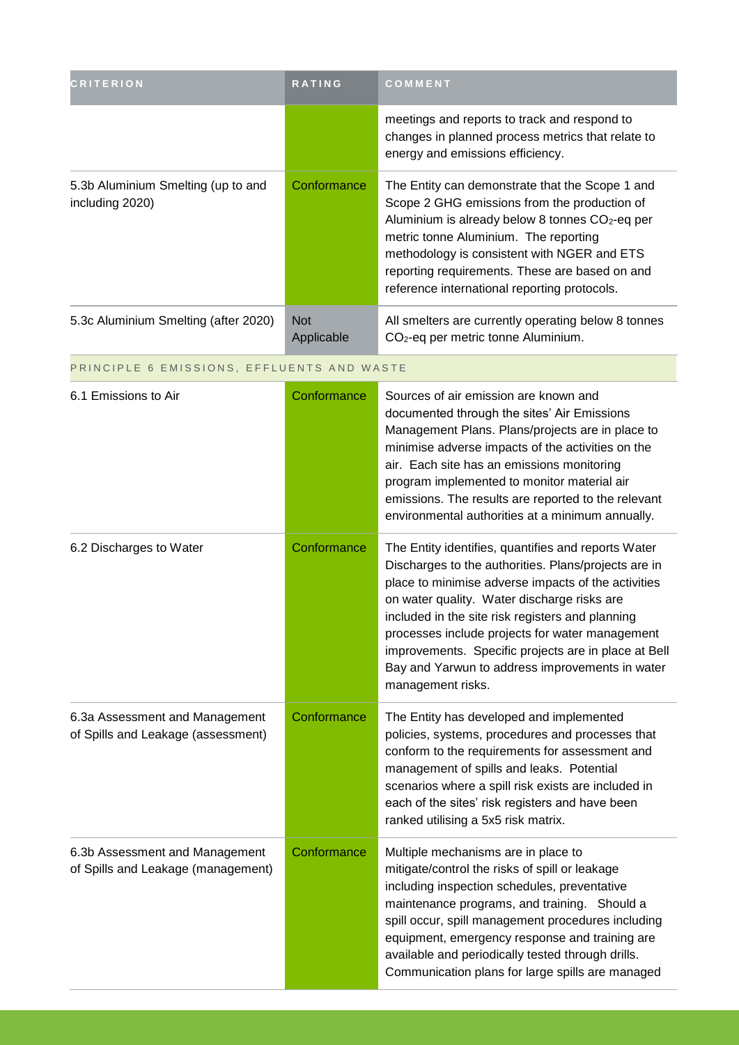| <b>CRITERION</b>                                                     | <b>RATING</b>            | COMMENT                                                                                                                                                                                                                                                                                                                                                                                                                                                  |
|----------------------------------------------------------------------|--------------------------|----------------------------------------------------------------------------------------------------------------------------------------------------------------------------------------------------------------------------------------------------------------------------------------------------------------------------------------------------------------------------------------------------------------------------------------------------------|
|                                                                      |                          | meetings and reports to track and respond to<br>changes in planned process metrics that relate to<br>energy and emissions efficiency.                                                                                                                                                                                                                                                                                                                    |
| 5.3b Aluminium Smelting (up to and<br>including 2020)                | Conformance              | The Entity can demonstrate that the Scope 1 and<br>Scope 2 GHG emissions from the production of<br>Aluminium is already below 8 tonnes CO <sub>2</sub> -eq per<br>metric tonne Aluminium. The reporting<br>methodology is consistent with NGER and ETS<br>reporting requirements. These are based on and<br>reference international reporting protocols.                                                                                                 |
| 5.3c Aluminium Smelting (after 2020)                                 | <b>Not</b><br>Applicable | All smelters are currently operating below 8 tonnes<br>CO <sub>2</sub> -eq per metric tonne Aluminium.                                                                                                                                                                                                                                                                                                                                                   |
| PRINCIPLE 6 EMISSIONS, EFFLUENTS AND WASTE                           |                          |                                                                                                                                                                                                                                                                                                                                                                                                                                                          |
| 6.1 Emissions to Air                                                 | Conformance              | Sources of air emission are known and<br>documented through the sites' Air Emissions<br>Management Plans. Plans/projects are in place to<br>minimise adverse impacts of the activities on the<br>air. Each site has an emissions monitoring<br>program implemented to monitor material air<br>emissions. The results are reported to the relevant<br>environmental authorities at a minimum annually.                                                    |
| 6.2 Discharges to Water                                              | Conformance              | The Entity identifies, quantifies and reports Water<br>Discharges to the authorities. Plans/projects are in<br>place to minimise adverse impacts of the activities<br>on water quality. Water discharge risks are<br>included in the site risk registers and planning<br>processes include projects for water management<br>improvements. Specific projects are in place at Bell<br>Bay and Yarwun to address improvements in water<br>management risks. |
| 6.3a Assessment and Management<br>of Spills and Leakage (assessment) | Conformance              | The Entity has developed and implemented<br>policies, systems, procedures and processes that<br>conform to the requirements for assessment and<br>management of spills and leaks. Potential<br>scenarios where a spill risk exists are included in<br>each of the sites' risk registers and have been<br>ranked utilising a 5x5 risk matrix.                                                                                                             |
| 6.3b Assessment and Management<br>of Spills and Leakage (management) | Conformance              | Multiple mechanisms are in place to<br>mitigate/control the risks of spill or leakage<br>including inspection schedules, preventative<br>maintenance programs, and training. Should a<br>spill occur, spill management procedures including<br>equipment, emergency response and training are<br>available and periodically tested through drills.<br>Communication plans for large spills are managed                                                   |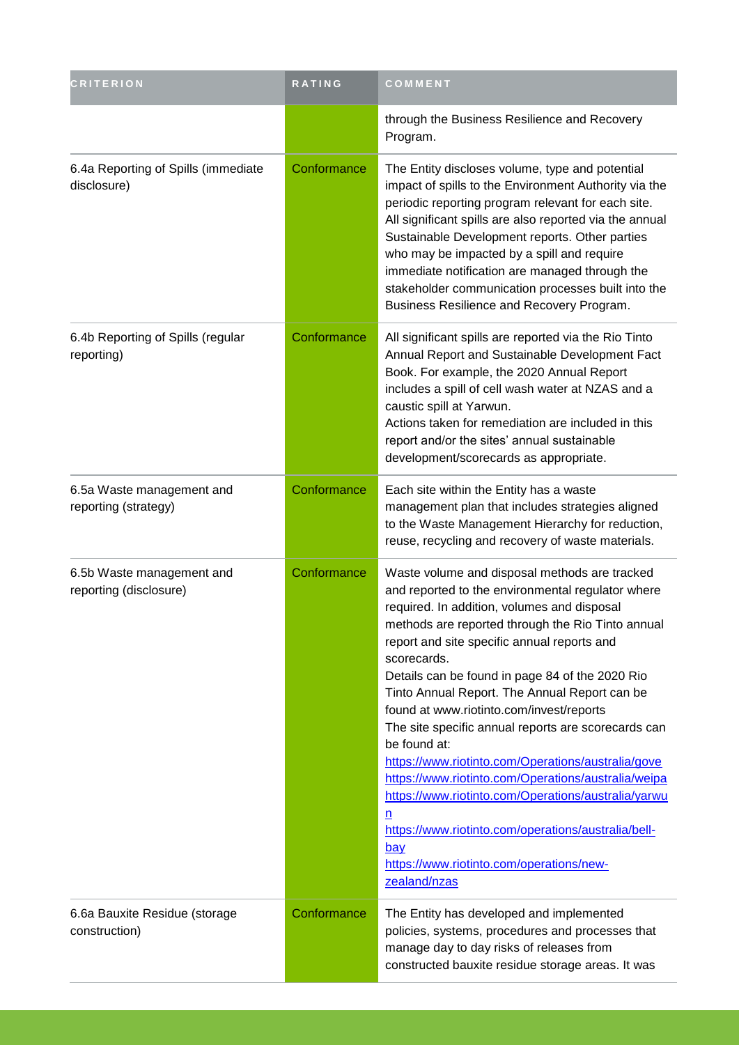| <b>CRITERION</b>                                    | RATING      | COMMENT                                                                                                                                                                                                                                                                                                                                                                                                                                                                                                                                                                                                                                                                                                                                                                                               |
|-----------------------------------------------------|-------------|-------------------------------------------------------------------------------------------------------------------------------------------------------------------------------------------------------------------------------------------------------------------------------------------------------------------------------------------------------------------------------------------------------------------------------------------------------------------------------------------------------------------------------------------------------------------------------------------------------------------------------------------------------------------------------------------------------------------------------------------------------------------------------------------------------|
|                                                     |             | through the Business Resilience and Recovery<br>Program.                                                                                                                                                                                                                                                                                                                                                                                                                                                                                                                                                                                                                                                                                                                                              |
| 6.4a Reporting of Spills (immediate<br>disclosure)  | Conformance | The Entity discloses volume, type and potential<br>impact of spills to the Environment Authority via the<br>periodic reporting program relevant for each site.<br>All significant spills are also reported via the annual<br>Sustainable Development reports. Other parties<br>who may be impacted by a spill and require<br>immediate notification are managed through the<br>stakeholder communication processes built into the<br>Business Resilience and Recovery Program.                                                                                                                                                                                                                                                                                                                        |
| 6.4b Reporting of Spills (regular<br>reporting)     | Conformance | All significant spills are reported via the Rio Tinto<br>Annual Report and Sustainable Development Fact<br>Book. For example, the 2020 Annual Report<br>includes a spill of cell wash water at NZAS and a<br>caustic spill at Yarwun.<br>Actions taken for remediation are included in this<br>report and/or the sites' annual sustainable<br>development/scorecards as appropriate.                                                                                                                                                                                                                                                                                                                                                                                                                  |
| 6.5a Waste management and<br>reporting (strategy)   | Conformance | Each site within the Entity has a waste<br>management plan that includes strategies aligned<br>to the Waste Management Hierarchy for reduction,<br>reuse, recycling and recovery of waste materials.                                                                                                                                                                                                                                                                                                                                                                                                                                                                                                                                                                                                  |
| 6.5b Waste management and<br>reporting (disclosure) | Conformance | Waste volume and disposal methods are tracked<br>and reported to the environmental regulator where<br>required. In addition, volumes and disposal<br>methods are reported through the Rio Tinto annual<br>report and site specific annual reports and<br>scorecards.<br>Details can be found in page 84 of the 2020 Rio<br>Tinto Annual Report. The Annual Report can be<br>found at www.riotinto.com/invest/reports<br>The site specific annual reports are scorecards can<br>be found at:<br>https://www.riotinto.com/Operations/australia/gove<br>https://www.riotinto.com/Operations/australia/weipa<br>https://www.riotinto.com/Operations/australia/yarwu<br>n<br>https://www.riotinto.com/operations/australia/bell-<br><u>bay</u><br>https://www.riotinto.com/operations/new-<br>zealand/nzas |
| 6.6a Bauxite Residue (storage<br>construction)      | Conformance | The Entity has developed and implemented<br>policies, systems, procedures and processes that<br>manage day to day risks of releases from<br>constructed bauxite residue storage areas. It was                                                                                                                                                                                                                                                                                                                                                                                                                                                                                                                                                                                                         |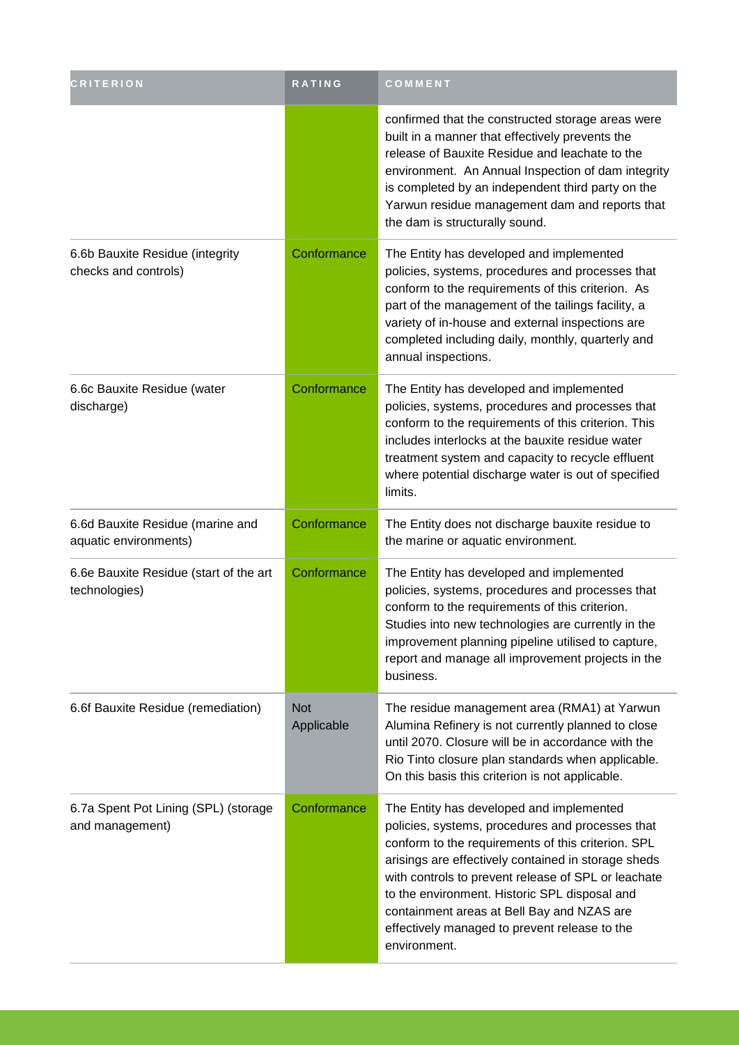| <b>CRITERION</b>                                          | RATING                   | COMMENT                                                                                                                                                                                                                                                                                                                                                                                                                          |
|-----------------------------------------------------------|--------------------------|----------------------------------------------------------------------------------------------------------------------------------------------------------------------------------------------------------------------------------------------------------------------------------------------------------------------------------------------------------------------------------------------------------------------------------|
|                                                           |                          | confirmed that the constructed storage areas were<br>built in a manner that effectively prevents the<br>release of Bauxite Residue and leachate to the<br>environment. An Annual Inspection of dam integrity<br>is completed by an independent third party on the<br>Yarwun residue management dam and reports that<br>the dam is structurally sound.                                                                            |
| 6.6b Bauxite Residue (integrity<br>checks and controls)   | Conformance              | The Entity has developed and implemented<br>policies, systems, procedures and processes that<br>conform to the requirements of this criterion. As<br>part of the management of the tailings facility, a<br>variety of in-house and external inspections are<br>completed including daily, monthly, quarterly and<br>annual inspections.                                                                                          |
| 6.6c Bauxite Residue (water<br>discharge)                 | Conformance              | The Entity has developed and implemented<br>policies, systems, procedures and processes that<br>conform to the requirements of this criterion. This<br>includes interlocks at the bauxite residue water<br>treatment system and capacity to recycle effluent<br>where potential discharge water is out of specified<br>limits.                                                                                                   |
| 6.6d Bauxite Residue (marine and<br>aquatic environments) | Conformance              | The Entity does not discharge bauxite residue to<br>the marine or aquatic environment.                                                                                                                                                                                                                                                                                                                                           |
| 6.6e Bauxite Residue (start of the art<br>technologies)   | Conformance              | The Entity has developed and implemented<br>policies, systems, procedures and processes that<br>conform to the requirements of this criterion.<br>Studies into new technologies are currently in the<br>improvement planning pipeline utilised to capture,<br>report and manage all improvement projects in the<br>business.                                                                                                     |
| 6.6f Bauxite Residue (remediation)                        | <b>Not</b><br>Applicable | The residue management area (RMA1) at Yarwun<br>Alumina Refinery is not currently planned to close<br>until 2070. Closure will be in accordance with the<br>Rio Tinto closure plan standards when applicable.<br>On this basis this criterion is not applicable.                                                                                                                                                                 |
| 6.7a Spent Pot Lining (SPL) (storage<br>and management)   | Conformance              | The Entity has developed and implemented<br>policies, systems, procedures and processes that<br>conform to the requirements of this criterion. SPL<br>arisings are effectively contained in storage sheds<br>with controls to prevent release of SPL or leachate<br>to the environment. Historic SPL disposal and<br>containment areas at Bell Bay and NZAS are<br>effectively managed to prevent release to the<br>environment. |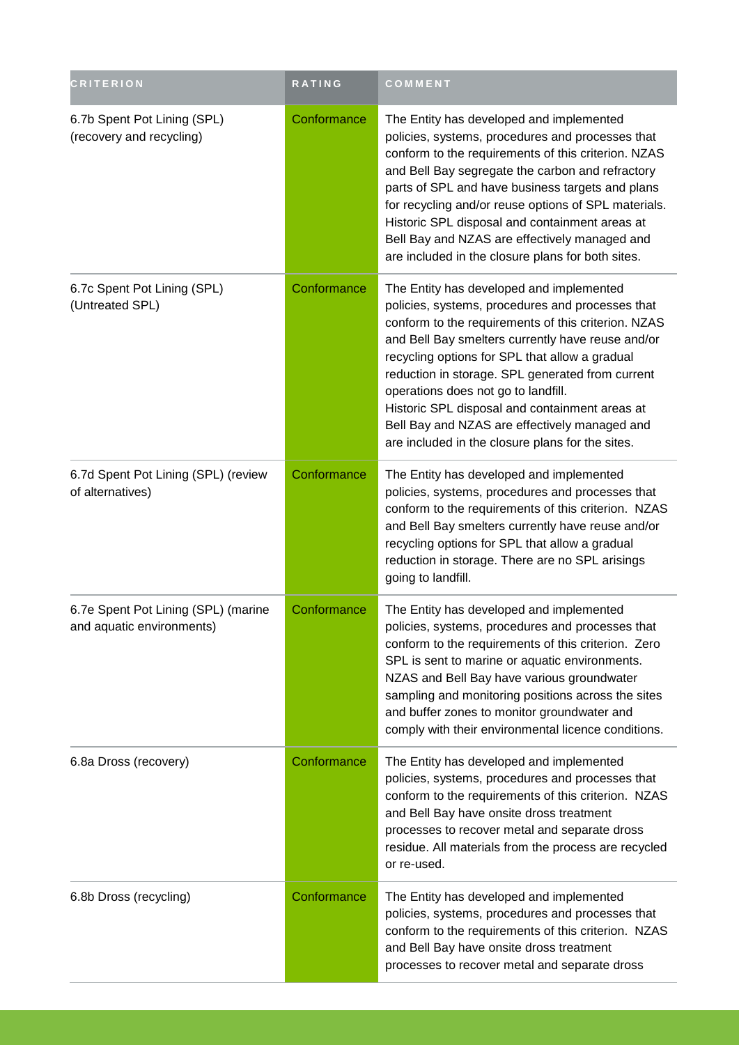| <b>CRITERION</b>                                                 | <b>RATING</b> | COMMENT                                                                                                                                                                                                                                                                                                                                                                                                                                                                                                      |
|------------------------------------------------------------------|---------------|--------------------------------------------------------------------------------------------------------------------------------------------------------------------------------------------------------------------------------------------------------------------------------------------------------------------------------------------------------------------------------------------------------------------------------------------------------------------------------------------------------------|
| 6.7b Spent Pot Lining (SPL)<br>(recovery and recycling)          | Conformance   | The Entity has developed and implemented<br>policies, systems, procedures and processes that<br>conform to the requirements of this criterion. NZAS<br>and Bell Bay segregate the carbon and refractory<br>parts of SPL and have business targets and plans<br>for recycling and/or reuse options of SPL materials.<br>Historic SPL disposal and containment areas at<br>Bell Bay and NZAS are effectively managed and<br>are included in the closure plans for both sites.                                  |
| 6.7c Spent Pot Lining (SPL)<br>(Untreated SPL)                   | Conformance   | The Entity has developed and implemented<br>policies, systems, procedures and processes that<br>conform to the requirements of this criterion. NZAS<br>and Bell Bay smelters currently have reuse and/or<br>recycling options for SPL that allow a gradual<br>reduction in storage. SPL generated from current<br>operations does not go to landfill.<br>Historic SPL disposal and containment areas at<br>Bell Bay and NZAS are effectively managed and<br>are included in the closure plans for the sites. |
| 6.7d Spent Pot Lining (SPL) (review<br>of alternatives)          | Conformance   | The Entity has developed and implemented<br>policies, systems, procedures and processes that<br>conform to the requirements of this criterion. NZAS<br>and Bell Bay smelters currently have reuse and/or<br>recycling options for SPL that allow a gradual<br>reduction in storage. There are no SPL arisings<br>going to landfill.                                                                                                                                                                          |
| 6.7e Spent Pot Lining (SPL) (marine<br>and aquatic environments) | Conformance   | The Entity has developed and implemented<br>policies, systems, procedures and processes that<br>conform to the requirements of this criterion. Zero<br>SPL is sent to marine or aquatic environments.<br>NZAS and Bell Bay have various groundwater<br>sampling and monitoring positions across the sites<br>and buffer zones to monitor groundwater and<br>comply with their environmental licence conditions.                                                                                              |
| 6.8a Dross (recovery)                                            | Conformance   | The Entity has developed and implemented<br>policies, systems, procedures and processes that<br>conform to the requirements of this criterion. NZAS<br>and Bell Bay have onsite dross treatment<br>processes to recover metal and separate dross<br>residue. All materials from the process are recycled<br>or re-used.                                                                                                                                                                                      |
| 6.8b Dross (recycling)                                           | Conformance   | The Entity has developed and implemented<br>policies, systems, procedures and processes that<br>conform to the requirements of this criterion. NZAS<br>and Bell Bay have onsite dross treatment<br>processes to recover metal and separate dross                                                                                                                                                                                                                                                             |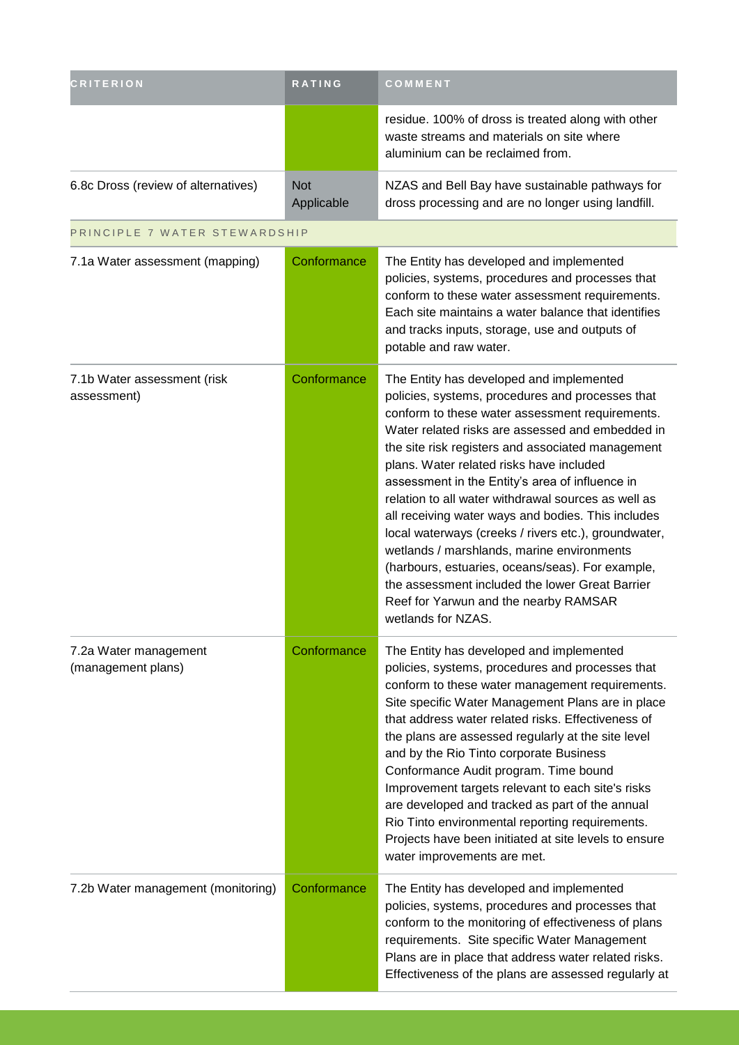| <b>CRITERION</b>                            | <b>RATING</b>            | COMMENT                                                                                                                                                                                                                                                                                                                                                                                                                                                                                                                                                                                                                                                                                                                                          |
|---------------------------------------------|--------------------------|--------------------------------------------------------------------------------------------------------------------------------------------------------------------------------------------------------------------------------------------------------------------------------------------------------------------------------------------------------------------------------------------------------------------------------------------------------------------------------------------------------------------------------------------------------------------------------------------------------------------------------------------------------------------------------------------------------------------------------------------------|
|                                             |                          | residue. 100% of dross is treated along with other<br>waste streams and materials on site where<br>aluminium can be reclaimed from.                                                                                                                                                                                                                                                                                                                                                                                                                                                                                                                                                                                                              |
| 6.8c Dross (review of alternatives)         | <b>Not</b><br>Applicable | NZAS and Bell Bay have sustainable pathways for<br>dross processing and are no longer using landfill.                                                                                                                                                                                                                                                                                                                                                                                                                                                                                                                                                                                                                                            |
| PRINCIPLE 7 WATER STEWARDSHIP               |                          |                                                                                                                                                                                                                                                                                                                                                                                                                                                                                                                                                                                                                                                                                                                                                  |
| 7.1a Water assessment (mapping)             | Conformance              | The Entity has developed and implemented<br>policies, systems, procedures and processes that<br>conform to these water assessment requirements.<br>Each site maintains a water balance that identifies<br>and tracks inputs, storage, use and outputs of<br>potable and raw water.                                                                                                                                                                                                                                                                                                                                                                                                                                                               |
| 7.1b Water assessment (risk<br>assessment)  | Conformance              | The Entity has developed and implemented<br>policies, systems, procedures and processes that<br>conform to these water assessment requirements.<br>Water related risks are assessed and embedded in<br>the site risk registers and associated management<br>plans. Water related risks have included<br>assessment in the Entity's area of influence in<br>relation to all water withdrawal sources as well as<br>all receiving water ways and bodies. This includes<br>local waterways (creeks / rivers etc.), groundwater,<br>wetlands / marshlands, marine environments<br>(harbours, estuaries, oceans/seas). For example,<br>the assessment included the lower Great Barrier<br>Reef for Yarwun and the nearby RAMSAR<br>wetlands for NZAS. |
| 7.2a Water management<br>(management plans) | Conformance              | The Entity has developed and implemented<br>policies, systems, procedures and processes that<br>conform to these water management requirements.<br>Site specific Water Management Plans are in place<br>that address water related risks. Effectiveness of<br>the plans are assessed regularly at the site level<br>and by the Rio Tinto corporate Business<br>Conformance Audit program. Time bound<br>Improvement targets relevant to each site's risks<br>are developed and tracked as part of the annual<br>Rio Tinto environmental reporting requirements.<br>Projects have been initiated at site levels to ensure<br>water improvements are met.                                                                                          |
| 7.2b Water management (monitoring)          | Conformance              | The Entity has developed and implemented<br>policies, systems, procedures and processes that<br>conform to the monitoring of effectiveness of plans<br>requirements. Site specific Water Management<br>Plans are in place that address water related risks.<br>Effectiveness of the plans are assessed regularly at                                                                                                                                                                                                                                                                                                                                                                                                                              |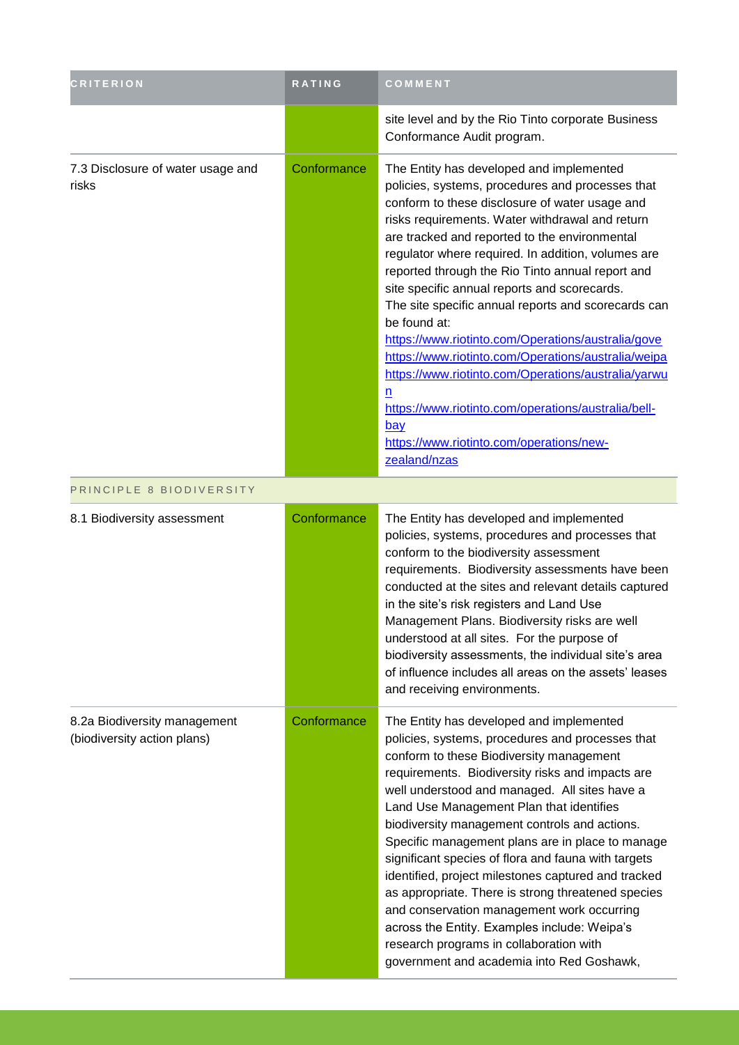| <b>CRITERION</b>                                            | <b>RATING</b> | COMMENT                                                                                                                                                                                                                                                                                                                                                                                                                                                                                                                                                                                                                                                                                                                                                                                       |
|-------------------------------------------------------------|---------------|-----------------------------------------------------------------------------------------------------------------------------------------------------------------------------------------------------------------------------------------------------------------------------------------------------------------------------------------------------------------------------------------------------------------------------------------------------------------------------------------------------------------------------------------------------------------------------------------------------------------------------------------------------------------------------------------------------------------------------------------------------------------------------------------------|
|                                                             |               | site level and by the Rio Tinto corporate Business<br>Conformance Audit program.                                                                                                                                                                                                                                                                                                                                                                                                                                                                                                                                                                                                                                                                                                              |
| 7.3 Disclosure of water usage and<br>risks                  | Conformance   | The Entity has developed and implemented<br>policies, systems, procedures and processes that<br>conform to these disclosure of water usage and<br>risks requirements. Water withdrawal and return<br>are tracked and reported to the environmental<br>regulator where required. In addition, volumes are<br>reported through the Rio Tinto annual report and<br>site specific annual reports and scorecards.<br>The site specific annual reports and scorecards can<br>be found at:<br>https://www.riotinto.com/Operations/australia/gove<br>https://www.riotinto.com/Operations/australia/weipa<br>https://www.riotinto.com/Operations/australia/yarwu<br>n<br>https://www.riotinto.com/operations/australia/bell-<br><u>bay</u><br>https://www.riotinto.com/operations/new-<br>zealand/nzas |
| PRINCIPLE 8 BIODIVERSITY                                    |               |                                                                                                                                                                                                                                                                                                                                                                                                                                                                                                                                                                                                                                                                                                                                                                                               |
| 8.1 Biodiversity assessment                                 | Conformance   | The Entity has developed and implemented<br>policies, systems, procedures and processes that<br>conform to the biodiversity assessment<br>requirements. Biodiversity assessments have been<br>conducted at the sites and relevant details captured<br>in the site's risk registers and Land Use<br>Management Plans. Biodiversity risks are well<br>understood at all sites. For the purpose of<br>biodiversity assessments, the individual site's area<br>of influence includes all areas on the assets' leases<br>and receiving environments.                                                                                                                                                                                                                                               |
| 8.2a Biodiversity management<br>(biodiversity action plans) | Conformance   | The Entity has developed and implemented<br>policies, systems, procedures and processes that<br>conform to these Biodiversity management<br>requirements. Biodiversity risks and impacts are<br>well understood and managed. All sites have a<br>Land Use Management Plan that identifies<br>biodiversity management controls and actions.<br>Specific management plans are in place to manage<br>significant species of flora and fauna with targets<br>identified, project milestones captured and tracked<br>as appropriate. There is strong threatened species<br>and conservation management work occurring<br>across the Entity. Examples include: Weipa's<br>research programs in collaboration with<br>government and academia into Red Goshawk,                                      |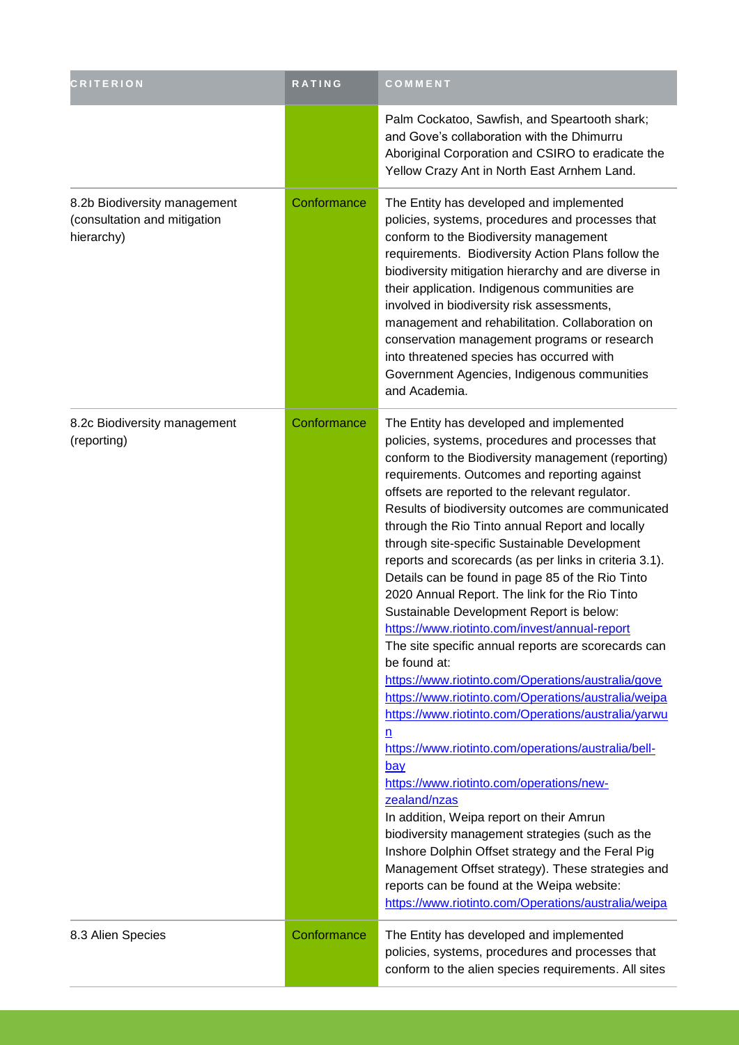| <b>CRITERION</b>                                                           | RATING      | COMMENT                                                                                                                                                                                                                                                                                                                                                                                                                                                                                                                                                                                                                                                                                                                                                                                                                                                                                                                                                                                                                                                                                                                                                                                                                                                                                                                                                                                   |
|----------------------------------------------------------------------------|-------------|-------------------------------------------------------------------------------------------------------------------------------------------------------------------------------------------------------------------------------------------------------------------------------------------------------------------------------------------------------------------------------------------------------------------------------------------------------------------------------------------------------------------------------------------------------------------------------------------------------------------------------------------------------------------------------------------------------------------------------------------------------------------------------------------------------------------------------------------------------------------------------------------------------------------------------------------------------------------------------------------------------------------------------------------------------------------------------------------------------------------------------------------------------------------------------------------------------------------------------------------------------------------------------------------------------------------------------------------------------------------------------------------|
|                                                                            |             | Palm Cockatoo, Sawfish, and Speartooth shark;<br>and Gove's collaboration with the Dhimurru<br>Aboriginal Corporation and CSIRO to eradicate the<br>Yellow Crazy Ant in North East Arnhem Land.                                                                                                                                                                                                                                                                                                                                                                                                                                                                                                                                                                                                                                                                                                                                                                                                                                                                                                                                                                                                                                                                                                                                                                                           |
| 8.2b Biodiversity management<br>(consultation and mitigation<br>hierarchy) | Conformance | The Entity has developed and implemented<br>policies, systems, procedures and processes that<br>conform to the Biodiversity management<br>requirements. Biodiversity Action Plans follow the<br>biodiversity mitigation hierarchy and are diverse in<br>their application. Indigenous communities are<br>involved in biodiversity risk assessments,<br>management and rehabilitation. Collaboration on<br>conservation management programs or research<br>into threatened species has occurred with<br>Government Agencies, Indigenous communities<br>and Academia.                                                                                                                                                                                                                                                                                                                                                                                                                                                                                                                                                                                                                                                                                                                                                                                                                       |
| 8.2c Biodiversity management<br>(reporting)                                | Conformance | The Entity has developed and implemented<br>policies, systems, procedures and processes that<br>conform to the Biodiversity management (reporting)<br>requirements. Outcomes and reporting against<br>offsets are reported to the relevant regulator.<br>Results of biodiversity outcomes are communicated<br>through the Rio Tinto annual Report and locally<br>through site-specific Sustainable Development<br>reports and scorecards (as per links in criteria 3.1).<br>Details can be found in page 85 of the Rio Tinto<br>2020 Annual Report. The link for the Rio Tinto<br>Sustainable Development Report is below:<br>https://www.riotinto.com/invest/annual-report<br>The site specific annual reports are scorecards can<br>be found at:<br>https://www.riotinto.com/Operations/australia/gove<br>https://www.riotinto.com/Operations/australia/weipa<br>https://www.riotinto.com/Operations/australia/yarwu<br>$\overline{\mathsf{n}}$<br>https://www.riotinto.com/operations/australia/bell-<br>bay<br>https://www.riotinto.com/operations/new-<br>zealand/nzas<br>In addition, Weipa report on their Amrun<br>biodiversity management strategies (such as the<br>Inshore Dolphin Offset strategy and the Feral Pig<br>Management Offset strategy). These strategies and<br>reports can be found at the Weipa website:<br>https://www.riotinto.com/Operations/australia/weipa |
| 8.3 Alien Species                                                          | Conformance | The Entity has developed and implemented<br>policies, systems, procedures and processes that<br>conform to the alien species requirements. All sites                                                                                                                                                                                                                                                                                                                                                                                                                                                                                                                                                                                                                                                                                                                                                                                                                                                                                                                                                                                                                                                                                                                                                                                                                                      |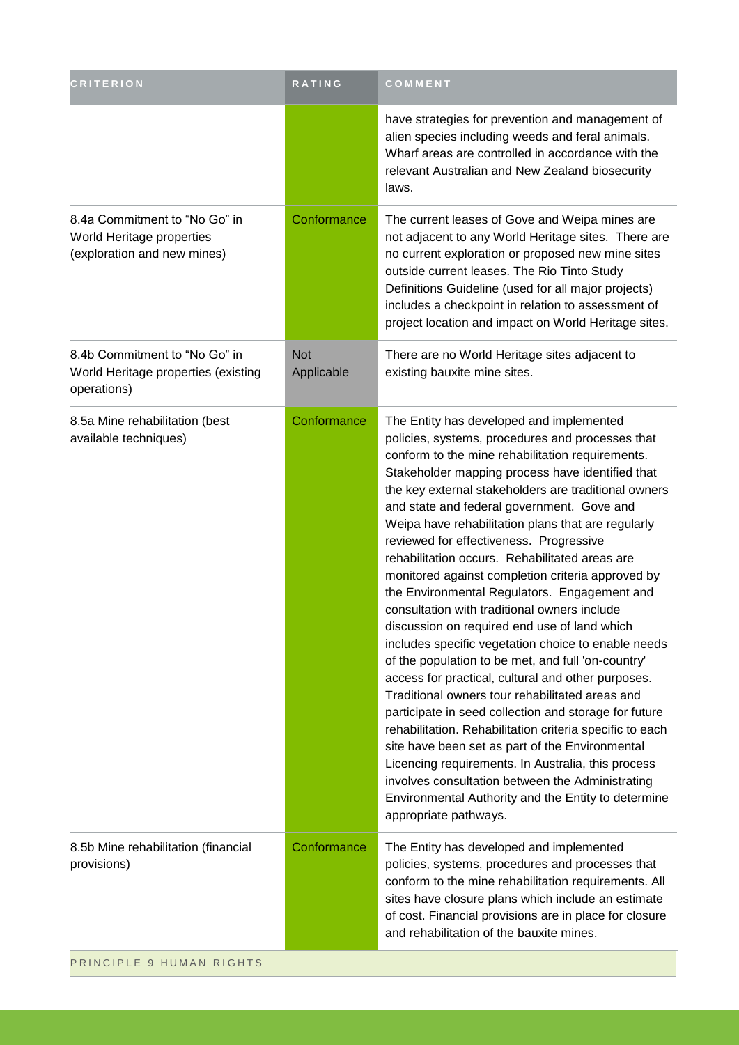| <b>CRITERION</b>                                                                          | RATING                   | COMMENT                                                                                                                                                                                                                                                                                                                                                                                                                                                                                                                                                                                                                                                                                                                                                                                                                                                                                                                                                                                                                                                                                                                                                                                                                                                    |
|-------------------------------------------------------------------------------------------|--------------------------|------------------------------------------------------------------------------------------------------------------------------------------------------------------------------------------------------------------------------------------------------------------------------------------------------------------------------------------------------------------------------------------------------------------------------------------------------------------------------------------------------------------------------------------------------------------------------------------------------------------------------------------------------------------------------------------------------------------------------------------------------------------------------------------------------------------------------------------------------------------------------------------------------------------------------------------------------------------------------------------------------------------------------------------------------------------------------------------------------------------------------------------------------------------------------------------------------------------------------------------------------------|
|                                                                                           |                          | have strategies for prevention and management of<br>alien species including weeds and feral animals.<br>Wharf areas are controlled in accordance with the<br>relevant Australian and New Zealand biosecurity<br>laws.                                                                                                                                                                                                                                                                                                                                                                                                                                                                                                                                                                                                                                                                                                                                                                                                                                                                                                                                                                                                                                      |
| 8.4a Commitment to "No Go" in<br>World Heritage properties<br>(exploration and new mines) | Conformance              | The current leases of Gove and Weipa mines are<br>not adjacent to any World Heritage sites. There are<br>no current exploration or proposed new mine sites<br>outside current leases. The Rio Tinto Study<br>Definitions Guideline (used for all major projects)<br>includes a checkpoint in relation to assessment of<br>project location and impact on World Heritage sites.                                                                                                                                                                                                                                                                                                                                                                                                                                                                                                                                                                                                                                                                                                                                                                                                                                                                             |
| 8.4b Commitment to "No Go" in<br>World Heritage properties (existing<br>operations)       | <b>Not</b><br>Applicable | There are no World Heritage sites adjacent to<br>existing bauxite mine sites.                                                                                                                                                                                                                                                                                                                                                                                                                                                                                                                                                                                                                                                                                                                                                                                                                                                                                                                                                                                                                                                                                                                                                                              |
| 8.5a Mine rehabilitation (best<br>available techniques)                                   | Conformance              | The Entity has developed and implemented<br>policies, systems, procedures and processes that<br>conform to the mine rehabilitation requirements.<br>Stakeholder mapping process have identified that<br>the key external stakeholders are traditional owners<br>and state and federal government. Gove and<br>Weipa have rehabilitation plans that are regularly<br>reviewed for effectiveness. Progressive<br>rehabilitation occurs. Rehabilitated areas are<br>monitored against completion criteria approved by<br>the Environmental Regulators. Engagement and<br>consultation with traditional owners include<br>discussion on required end use of land which<br>includes specific vegetation choice to enable needs<br>of the population to be met, and full 'on-country'<br>access for practical, cultural and other purposes.<br>Traditional owners tour rehabilitated areas and<br>participate in seed collection and storage for future<br>rehabilitation. Rehabilitation criteria specific to each<br>site have been set as part of the Environmental<br>Licencing requirements. In Australia, this process<br>involves consultation between the Administrating<br>Environmental Authority and the Entity to determine<br>appropriate pathways. |
| 8.5b Mine rehabilitation (financial<br>provisions)                                        | Conformance              | The Entity has developed and implemented<br>policies, systems, procedures and processes that<br>conform to the mine rehabilitation requirements. All<br>sites have closure plans which include an estimate<br>of cost. Financial provisions are in place for closure<br>and rehabilitation of the bauxite mines.                                                                                                                                                                                                                                                                                                                                                                                                                                                                                                                                                                                                                                                                                                                                                                                                                                                                                                                                           |
| PRINCIPLE 9 HUMAN RIGHTS                                                                  |                          |                                                                                                                                                                                                                                                                                                                                                                                                                                                                                                                                                                                                                                                                                                                                                                                                                                                                                                                                                                                                                                                                                                                                                                                                                                                            |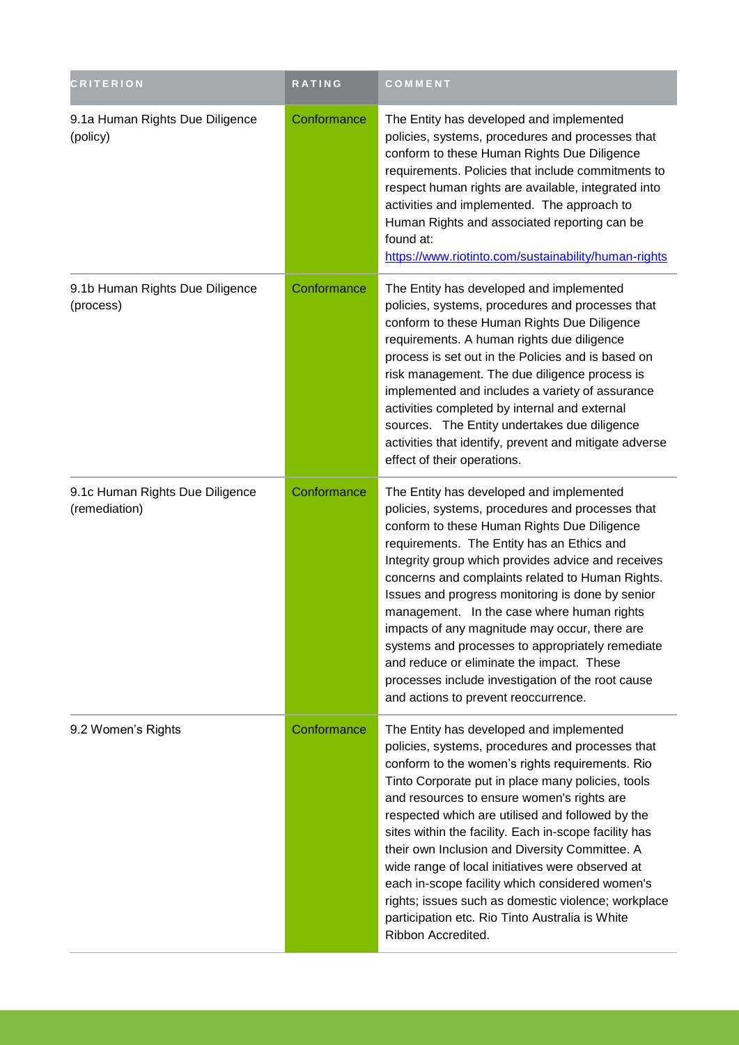| <b>CRITERION</b>                                 | RATING      | COMMENT                                                                                                                                                                                                                                                                                                                                                                                                                                                                                                                                                                                                                                                  |
|--------------------------------------------------|-------------|----------------------------------------------------------------------------------------------------------------------------------------------------------------------------------------------------------------------------------------------------------------------------------------------------------------------------------------------------------------------------------------------------------------------------------------------------------------------------------------------------------------------------------------------------------------------------------------------------------------------------------------------------------|
| 9.1a Human Rights Due Diligence<br>(policy)      | Conformance | The Entity has developed and implemented<br>policies, systems, procedures and processes that<br>conform to these Human Rights Due Diligence<br>requirements. Policies that include commitments to<br>respect human rights are available, integrated into<br>activities and implemented. The approach to<br>Human Rights and associated reporting can be<br>found at:<br>https://www.riotinto.com/sustainability/human-rights                                                                                                                                                                                                                             |
| 9.1b Human Rights Due Diligence<br>(process)     | Conformance | The Entity has developed and implemented<br>policies, systems, procedures and processes that<br>conform to these Human Rights Due Diligence<br>requirements. A human rights due diligence<br>process is set out in the Policies and is based on<br>risk management. The due diligence process is<br>implemented and includes a variety of assurance<br>activities completed by internal and external<br>sources. The Entity undertakes due diligence<br>activities that identify, prevent and mitigate adverse<br>effect of their operations.                                                                                                            |
| 9.1c Human Rights Due Diligence<br>(remediation) | Conformance | The Entity has developed and implemented<br>policies, systems, procedures and processes that<br>conform to these Human Rights Due Diligence<br>requirements. The Entity has an Ethics and<br>Integrity group which provides advice and receives<br>concerns and complaints related to Human Rights.<br>Issues and progress monitoring is done by senior<br>management. In the case where human rights<br>impacts of any magnitude may occur, there are<br>systems and processes to appropriately remediate<br>and reduce or eliminate the impact. These<br>processes include investigation of the root cause<br>and actions to prevent reoccurrence.     |
| 9.2 Women's Rights                               | Conformance | The Entity has developed and implemented<br>policies, systems, procedures and processes that<br>conform to the women's rights requirements. Rio<br>Tinto Corporate put in place many policies, tools<br>and resources to ensure women's rights are<br>respected which are utilised and followed by the<br>sites within the facility. Each in-scope facility has<br>their own Inclusion and Diversity Committee. A<br>wide range of local initiatives were observed at<br>each in-scope facility which considered women's<br>rights; issues such as domestic violence; workplace<br>participation etc. Rio Tinto Australia is White<br>Ribbon Accredited. |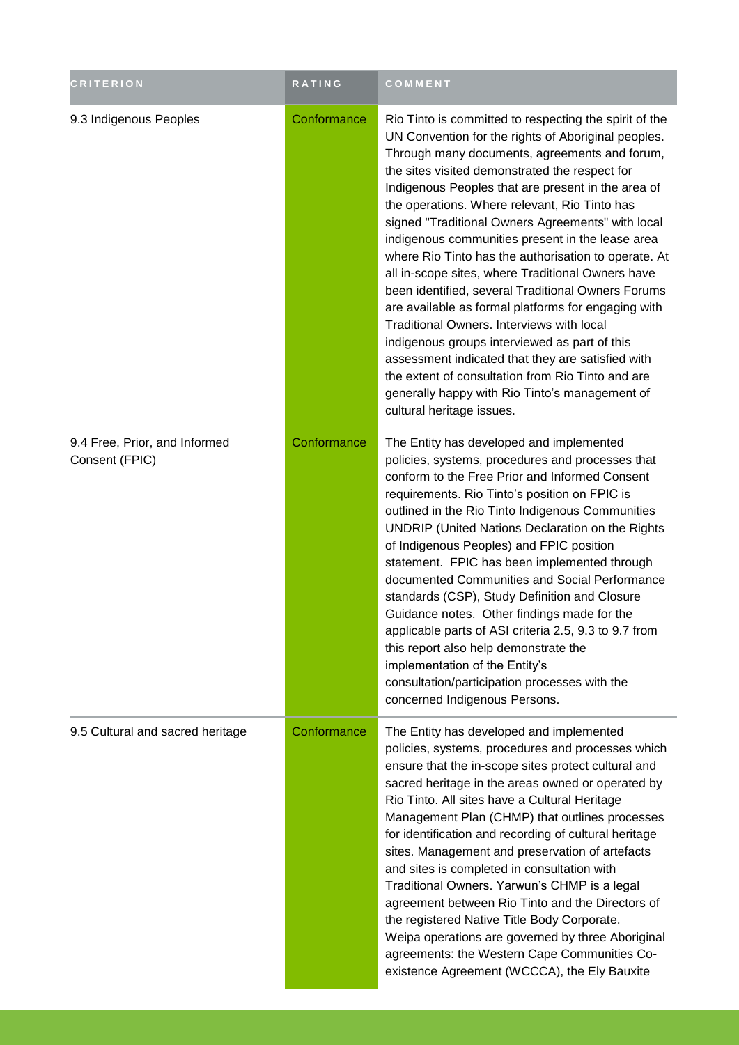| <b>CRITERION</b>                                | <b>RATING</b> | COMMENT                                                                                                                                                                                                                                                                                                                                                                                                                                                                                                                                                                                                                                                                                                                                                                                                                                                                                                                                           |
|-------------------------------------------------|---------------|---------------------------------------------------------------------------------------------------------------------------------------------------------------------------------------------------------------------------------------------------------------------------------------------------------------------------------------------------------------------------------------------------------------------------------------------------------------------------------------------------------------------------------------------------------------------------------------------------------------------------------------------------------------------------------------------------------------------------------------------------------------------------------------------------------------------------------------------------------------------------------------------------------------------------------------------------|
| 9.3 Indigenous Peoples                          | Conformance   | Rio Tinto is committed to respecting the spirit of the<br>UN Convention for the rights of Aboriginal peoples.<br>Through many documents, agreements and forum,<br>the sites visited demonstrated the respect for<br>Indigenous Peoples that are present in the area of<br>the operations. Where relevant, Rio Tinto has<br>signed "Traditional Owners Agreements" with local<br>indigenous communities present in the lease area<br>where Rio Tinto has the authorisation to operate. At<br>all in-scope sites, where Traditional Owners have<br>been identified, several Traditional Owners Forums<br>are available as formal platforms for engaging with<br>Traditional Owners. Interviews with local<br>indigenous groups interviewed as part of this<br>assessment indicated that they are satisfied with<br>the extent of consultation from Rio Tinto and are<br>generally happy with Rio Tinto's management of<br>cultural heritage issues. |
| 9.4 Free, Prior, and Informed<br>Consent (FPIC) | Conformance   | The Entity has developed and implemented<br>policies, systems, procedures and processes that<br>conform to the Free Prior and Informed Consent<br>requirements. Rio Tinto's position on FPIC is<br>outlined in the Rio Tinto Indigenous Communities<br>UNDRIP (United Nations Declaration on the Rights<br>of Indigenous Peoples) and FPIC position<br>statement. FPIC has been implemented through<br>documented Communities and Social Performance<br>standards (CSP), Study Definition and Closure<br>Guidance notes. Other findings made for the<br>applicable parts of ASI criteria 2.5, 9.3 to 9.7 from<br>this report also help demonstrate the<br>implementation of the Entity's<br>consultation/participation processes with the<br>concerned Indigenous Persons.                                                                                                                                                                        |
| 9.5 Cultural and sacred heritage                | Conformance   | The Entity has developed and implemented<br>policies, systems, procedures and processes which<br>ensure that the in-scope sites protect cultural and<br>sacred heritage in the areas owned or operated by<br>Rio Tinto. All sites have a Cultural Heritage<br>Management Plan (CHMP) that outlines processes<br>for identification and recording of cultural heritage<br>sites. Management and preservation of artefacts<br>and sites is completed in consultation with<br>Traditional Owners. Yarwun's CHMP is a legal<br>agreement between Rio Tinto and the Directors of<br>the registered Native Title Body Corporate.<br>Weipa operations are governed by three Aboriginal<br>agreements: the Western Cape Communities Co-<br>existence Agreement (WCCCA), the Ely Bauxite                                                                                                                                                                   |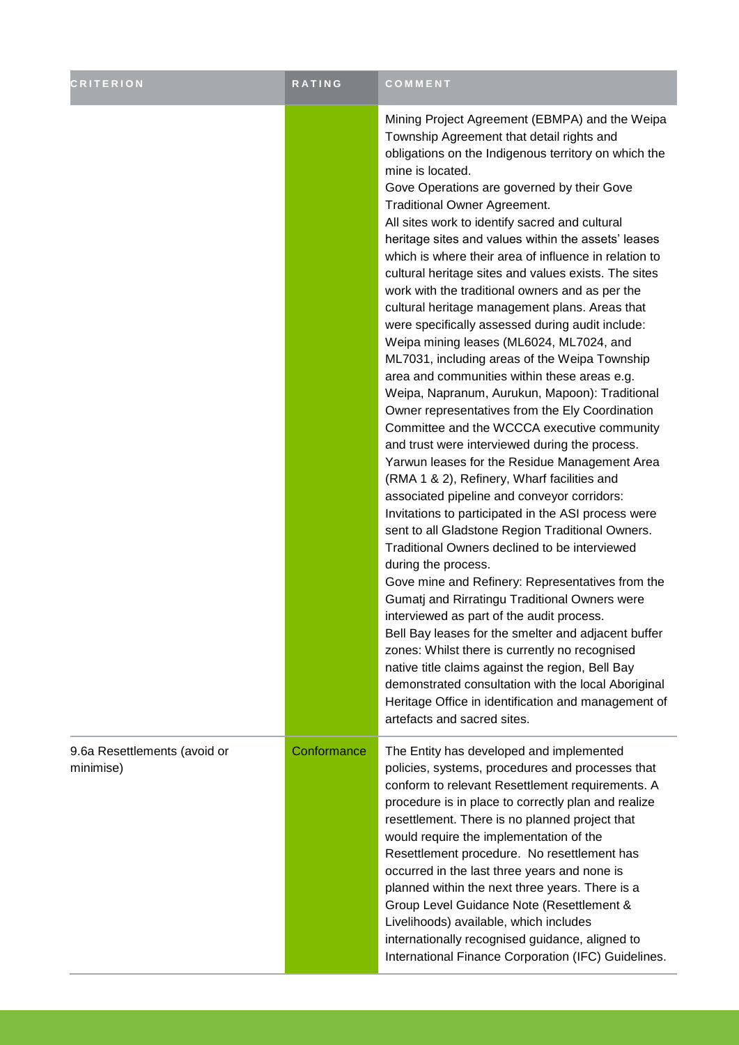| <b>CRITERION</b>                          | <b>RATING</b> | COMMENT                                                                                                                                                                                                                                                                                                                                                                                                                                                                                                                                                                                                                                                                                                                                                                                                                                                                                                                                                                                                                                                                                                                                                                                                                                                                                                                                                                                                                                                                                                                                                                                                                                                                                                                                                                                          |
|-------------------------------------------|---------------|--------------------------------------------------------------------------------------------------------------------------------------------------------------------------------------------------------------------------------------------------------------------------------------------------------------------------------------------------------------------------------------------------------------------------------------------------------------------------------------------------------------------------------------------------------------------------------------------------------------------------------------------------------------------------------------------------------------------------------------------------------------------------------------------------------------------------------------------------------------------------------------------------------------------------------------------------------------------------------------------------------------------------------------------------------------------------------------------------------------------------------------------------------------------------------------------------------------------------------------------------------------------------------------------------------------------------------------------------------------------------------------------------------------------------------------------------------------------------------------------------------------------------------------------------------------------------------------------------------------------------------------------------------------------------------------------------------------------------------------------------------------------------------------------------|
|                                           |               | Mining Project Agreement (EBMPA) and the Weipa<br>Township Agreement that detail rights and<br>obligations on the Indigenous territory on which the<br>mine is located.<br>Gove Operations are governed by their Gove<br><b>Traditional Owner Agreement.</b><br>All sites work to identify sacred and cultural<br>heritage sites and values within the assets' leases<br>which is where their area of influence in relation to<br>cultural heritage sites and values exists. The sites<br>work with the traditional owners and as per the<br>cultural heritage management plans. Areas that<br>were specifically assessed during audit include:<br>Weipa mining leases (ML6024, ML7024, and<br>ML7031, including areas of the Weipa Township<br>area and communities within these areas e.g.<br>Weipa, Napranum, Aurukun, Mapoon): Traditional<br>Owner representatives from the Ely Coordination<br>Committee and the WCCCA executive community<br>and trust were interviewed during the process.<br>Yarwun leases for the Residue Management Area<br>(RMA 1 & 2), Refinery, Wharf facilities and<br>associated pipeline and conveyor corridors:<br>Invitations to participated in the ASI process were<br>sent to all Gladstone Region Traditional Owners.<br>Traditional Owners declined to be interviewed<br>during the process.<br>Gove mine and Refinery: Representatives from the<br>Gumatj and Rirratingu Traditional Owners were<br>interviewed as part of the audit process.<br>Bell Bay leases for the smelter and adjacent buffer<br>zones: Whilst there is currently no recognised<br>native title claims against the region, Bell Bay<br>demonstrated consultation with the local Aboriginal<br>Heritage Office in identification and management of<br>artefacts and sacred sites. |
| 9.6a Resettlements (avoid or<br>minimise) | Conformance   | The Entity has developed and implemented<br>policies, systems, procedures and processes that<br>conform to relevant Resettlement requirements. A<br>procedure is in place to correctly plan and realize<br>resettlement. There is no planned project that<br>would require the implementation of the<br>Resettlement procedure. No resettlement has<br>occurred in the last three years and none is<br>planned within the next three years. There is a<br>Group Level Guidance Note (Resettlement &<br>Livelihoods) available, which includes<br>internationally recognised guidance, aligned to<br>International Finance Corporation (IFC) Guidelines.                                                                                                                                                                                                                                                                                                                                                                                                                                                                                                                                                                                                                                                                                                                                                                                                                                                                                                                                                                                                                                                                                                                                          |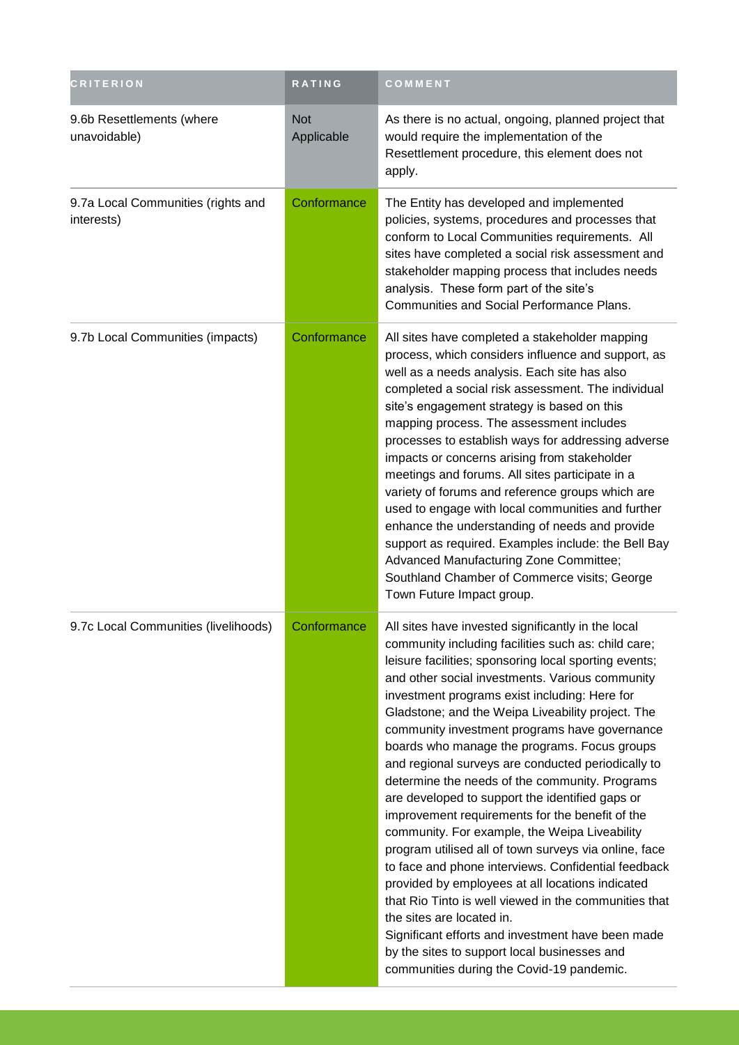| <b>CRITERION</b>                                 | RATING                   | COMMENT                                                                                                                                                                                                                                                                                                                                                                                                                                                                                                                                                                                                                                                                                                                                                                                                                                                                                                                                                                                                                                                                                                 |
|--------------------------------------------------|--------------------------|---------------------------------------------------------------------------------------------------------------------------------------------------------------------------------------------------------------------------------------------------------------------------------------------------------------------------------------------------------------------------------------------------------------------------------------------------------------------------------------------------------------------------------------------------------------------------------------------------------------------------------------------------------------------------------------------------------------------------------------------------------------------------------------------------------------------------------------------------------------------------------------------------------------------------------------------------------------------------------------------------------------------------------------------------------------------------------------------------------|
| 9.6b Resettlements (where<br>unavoidable)        | <b>Not</b><br>Applicable | As there is no actual, ongoing, planned project that<br>would require the implementation of the<br>Resettlement procedure, this element does not<br>apply.                                                                                                                                                                                                                                                                                                                                                                                                                                                                                                                                                                                                                                                                                                                                                                                                                                                                                                                                              |
| 9.7a Local Communities (rights and<br>interests) | Conformance              | The Entity has developed and implemented<br>policies, systems, procedures and processes that<br>conform to Local Communities requirements. All<br>sites have completed a social risk assessment and<br>stakeholder mapping process that includes needs<br>analysis. These form part of the site's<br>Communities and Social Performance Plans.                                                                                                                                                                                                                                                                                                                                                                                                                                                                                                                                                                                                                                                                                                                                                          |
| 9.7b Local Communities (impacts)                 | Conformance              | All sites have completed a stakeholder mapping<br>process, which considers influence and support, as<br>well as a needs analysis. Each site has also<br>completed a social risk assessment. The individual<br>site's engagement strategy is based on this<br>mapping process. The assessment includes<br>processes to establish ways for addressing adverse<br>impacts or concerns arising from stakeholder<br>meetings and forums. All sites participate in a<br>variety of forums and reference groups which are<br>used to engage with local communities and further<br>enhance the understanding of needs and provide<br>support as required. Examples include: the Bell Bay<br>Advanced Manufacturing Zone Committee;<br>Southland Chamber of Commerce visits; George<br>Town Future Impact group.                                                                                                                                                                                                                                                                                                 |
| 9.7c Local Communities (livelihoods)             | Conformance              | All sites have invested significantly in the local<br>community including facilities such as: child care;<br>leisure facilities; sponsoring local sporting events;<br>and other social investments. Various community<br>investment programs exist including: Here for<br>Gladstone; and the Weipa Liveability project. The<br>community investment programs have governance<br>boards who manage the programs. Focus groups<br>and regional surveys are conducted periodically to<br>determine the needs of the community. Programs<br>are developed to support the identified gaps or<br>improvement requirements for the benefit of the<br>community. For example, the Weipa Liveability<br>program utilised all of town surveys via online, face<br>to face and phone interviews. Confidential feedback<br>provided by employees at all locations indicated<br>that Rio Tinto is well viewed in the communities that<br>the sites are located in.<br>Significant efforts and investment have been made<br>by the sites to support local businesses and<br>communities during the Covid-19 pandemic. |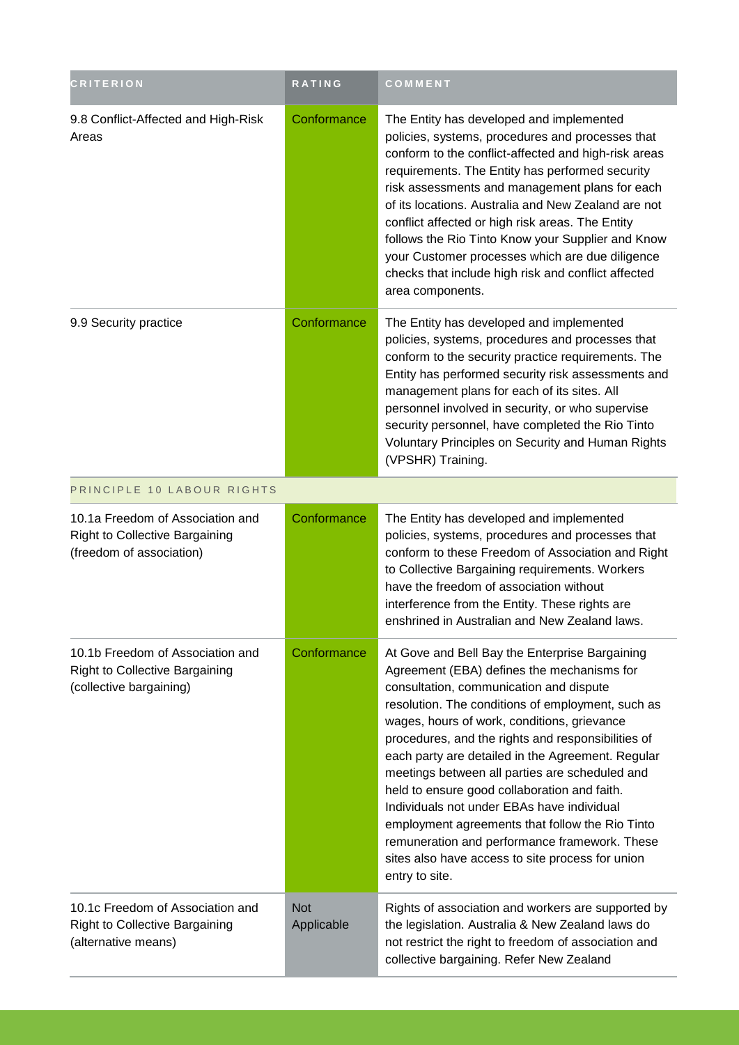| <b>CRITERION</b>                                                                                      | <b>RATING</b>            | COMMENT                                                                                                                                                                                                                                                                                                                                                                                                                                                                                                                                                                                                                                                                          |
|-------------------------------------------------------------------------------------------------------|--------------------------|----------------------------------------------------------------------------------------------------------------------------------------------------------------------------------------------------------------------------------------------------------------------------------------------------------------------------------------------------------------------------------------------------------------------------------------------------------------------------------------------------------------------------------------------------------------------------------------------------------------------------------------------------------------------------------|
| 9.8 Conflict-Affected and High-Risk<br>Areas                                                          | Conformance              | The Entity has developed and implemented<br>policies, systems, procedures and processes that<br>conform to the conflict-affected and high-risk areas<br>requirements. The Entity has performed security<br>risk assessments and management plans for each<br>of its locations. Australia and New Zealand are not<br>conflict affected or high risk areas. The Entity<br>follows the Rio Tinto Know your Supplier and Know<br>your Customer processes which are due diligence<br>checks that include high risk and conflict affected<br>area components.                                                                                                                          |
| 9.9 Security practice                                                                                 | Conformance              | The Entity has developed and implemented<br>policies, systems, procedures and processes that<br>conform to the security practice requirements. The<br>Entity has performed security risk assessments and<br>management plans for each of its sites. All<br>personnel involved in security, or who supervise<br>security personnel, have completed the Rio Tinto<br>Voluntary Principles on Security and Human Rights<br>(VPSHR) Training.                                                                                                                                                                                                                                        |
| PRINCIPLE 10 LABOUR RIGHTS                                                                            |                          |                                                                                                                                                                                                                                                                                                                                                                                                                                                                                                                                                                                                                                                                                  |
| 10.1a Freedom of Association and<br><b>Right to Collective Bargaining</b><br>(freedom of association) | Conformance              | The Entity has developed and implemented<br>policies, systems, procedures and processes that<br>conform to these Freedom of Association and Right<br>to Collective Bargaining requirements. Workers<br>have the freedom of association without<br>interference from the Entity. These rights are<br>enshrined in Australian and New Zealand laws.                                                                                                                                                                                                                                                                                                                                |
| 10.1b Freedom of Association and<br><b>Right to Collective Bargaining</b><br>(collective bargaining)  | Conformance              | At Gove and Bell Bay the Enterprise Bargaining<br>Agreement (EBA) defines the mechanisms for<br>consultation, communication and dispute<br>resolution. The conditions of employment, such as<br>wages, hours of work, conditions, grievance<br>procedures, and the rights and responsibilities of<br>each party are detailed in the Agreement. Regular<br>meetings between all parties are scheduled and<br>held to ensure good collaboration and faith.<br>Individuals not under EBAs have individual<br>employment agreements that follow the Rio Tinto<br>remuneration and performance framework. These<br>sites also have access to site process for union<br>entry to site. |
| 10.1c Freedom of Association and<br>Right to Collective Bargaining<br>(alternative means)             | <b>Not</b><br>Applicable | Rights of association and workers are supported by<br>the legislation. Australia & New Zealand laws do<br>not restrict the right to freedom of association and<br>collective bargaining. Refer New Zealand                                                                                                                                                                                                                                                                                                                                                                                                                                                                       |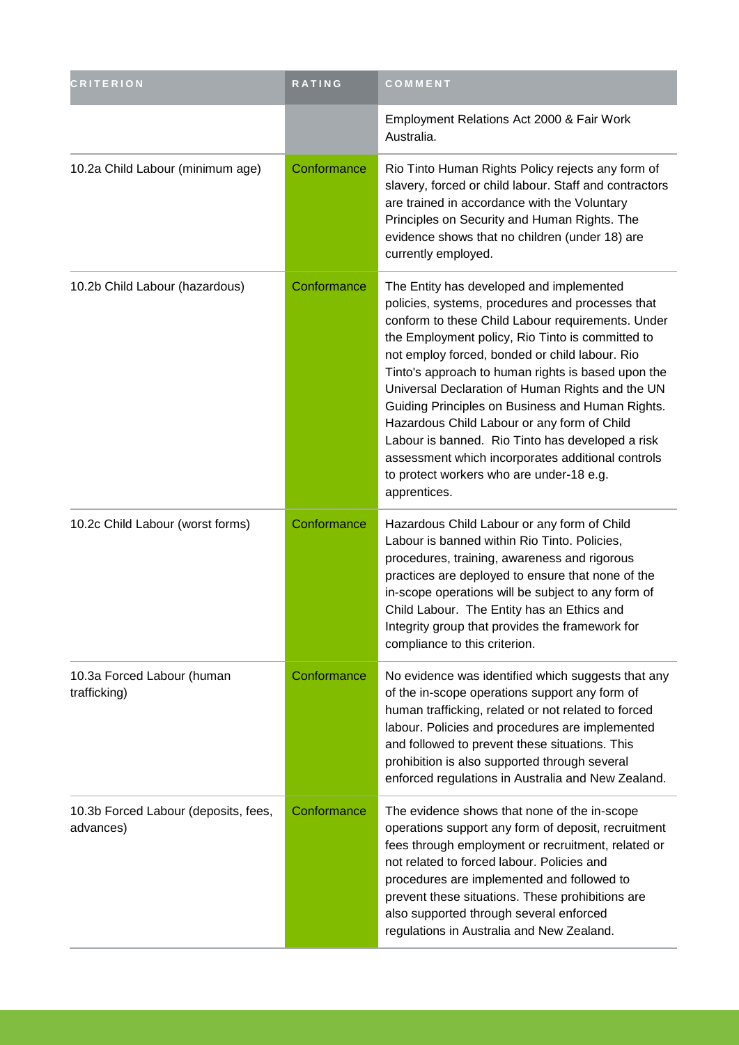| <b>CRITERION</b>                                  | <b>RATING</b> | COMMENT                                                                                                                                                                                                                                                                                                                                                                                                                                                                                                                                                                                                                                   |
|---------------------------------------------------|---------------|-------------------------------------------------------------------------------------------------------------------------------------------------------------------------------------------------------------------------------------------------------------------------------------------------------------------------------------------------------------------------------------------------------------------------------------------------------------------------------------------------------------------------------------------------------------------------------------------------------------------------------------------|
|                                                   |               | Employment Relations Act 2000 & Fair Work<br>Australia.                                                                                                                                                                                                                                                                                                                                                                                                                                                                                                                                                                                   |
| 10.2a Child Labour (minimum age)                  | Conformance   | Rio Tinto Human Rights Policy rejects any form of<br>slavery, forced or child labour. Staff and contractors<br>are trained in accordance with the Voluntary<br>Principles on Security and Human Rights. The<br>evidence shows that no children (under 18) are<br>currently employed.                                                                                                                                                                                                                                                                                                                                                      |
| 10.2b Child Labour (hazardous)                    | Conformance   | The Entity has developed and implemented<br>policies, systems, procedures and processes that<br>conform to these Child Labour requirements. Under<br>the Employment policy, Rio Tinto is committed to<br>not employ forced, bonded or child labour. Rio<br>Tinto's approach to human rights is based upon the<br>Universal Declaration of Human Rights and the UN<br>Guiding Principles on Business and Human Rights.<br>Hazardous Child Labour or any form of Child<br>Labour is banned. Rio Tinto has developed a risk<br>assessment which incorporates additional controls<br>to protect workers who are under-18 e.g.<br>apprentices. |
| 10.2c Child Labour (worst forms)                  | Conformance   | Hazardous Child Labour or any form of Child<br>Labour is banned within Rio Tinto. Policies,<br>procedures, training, awareness and rigorous<br>practices are deployed to ensure that none of the<br>in-scope operations will be subject to any form of<br>Child Labour. The Entity has an Ethics and<br>Integrity group that provides the framework for<br>compliance to this criterion.                                                                                                                                                                                                                                                  |
| 10.3a Forced Labour (human<br>trafficking)        | Conformance   | No evidence was identified which suggests that any<br>of the in-scope operations support any form of<br>human trafficking, related or not related to forced<br>labour. Policies and procedures are implemented<br>and followed to prevent these situations. This<br>prohibition is also supported through several<br>enforced regulations in Australia and New Zealand.                                                                                                                                                                                                                                                                   |
| 10.3b Forced Labour (deposits, fees,<br>advances) | Conformance   | The evidence shows that none of the in-scope<br>operations support any form of deposit, recruitment<br>fees through employment or recruitment, related or<br>not related to forced labour. Policies and<br>procedures are implemented and followed to<br>prevent these situations. These prohibitions are<br>also supported through several enforced<br>regulations in Australia and New Zealand.                                                                                                                                                                                                                                         |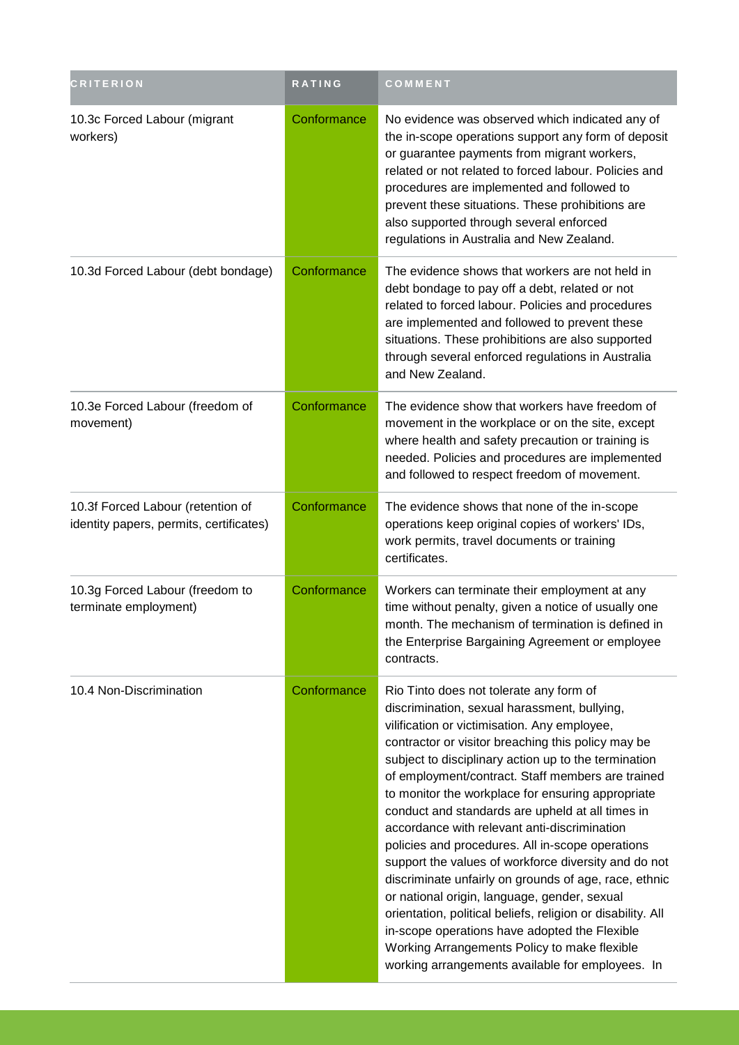| <b>CRITERION</b>                                                             | <b>RATING</b> | COMMENT                                                                                                                                                                                                                                                                                                                                                                                                                                                                                                                                                                                                                                                                                                                                                                                                                                                                                                      |
|------------------------------------------------------------------------------|---------------|--------------------------------------------------------------------------------------------------------------------------------------------------------------------------------------------------------------------------------------------------------------------------------------------------------------------------------------------------------------------------------------------------------------------------------------------------------------------------------------------------------------------------------------------------------------------------------------------------------------------------------------------------------------------------------------------------------------------------------------------------------------------------------------------------------------------------------------------------------------------------------------------------------------|
| 10.3c Forced Labour (migrant<br>workers)                                     | Conformance   | No evidence was observed which indicated any of<br>the in-scope operations support any form of deposit<br>or guarantee payments from migrant workers,<br>related or not related to forced labour. Policies and<br>procedures are implemented and followed to<br>prevent these situations. These prohibitions are<br>also supported through several enforced<br>regulations in Australia and New Zealand.                                                                                                                                                                                                                                                                                                                                                                                                                                                                                                     |
| 10.3d Forced Labour (debt bondage)                                           | Conformance   | The evidence shows that workers are not held in<br>debt bondage to pay off a debt, related or not<br>related to forced labour. Policies and procedures<br>are implemented and followed to prevent these<br>situations. These prohibitions are also supported<br>through several enforced regulations in Australia<br>and New Zealand.                                                                                                                                                                                                                                                                                                                                                                                                                                                                                                                                                                        |
| 10.3e Forced Labour (freedom of<br>movement)                                 | Conformance   | The evidence show that workers have freedom of<br>movement in the workplace or on the site, except<br>where health and safety precaution or training is<br>needed. Policies and procedures are implemented<br>and followed to respect freedom of movement.                                                                                                                                                                                                                                                                                                                                                                                                                                                                                                                                                                                                                                                   |
| 10.3f Forced Labour (retention of<br>identity papers, permits, certificates) | Conformance   | The evidence shows that none of the in-scope<br>operations keep original copies of workers' IDs,<br>work permits, travel documents or training<br>certificates.                                                                                                                                                                                                                                                                                                                                                                                                                                                                                                                                                                                                                                                                                                                                              |
| 10.3g Forced Labour (freedom to<br>terminate employment)                     | Conformance   | Workers can terminate their employment at any<br>time without penalty, given a notice of usually one<br>month. The mechanism of termination is defined in<br>the Enterprise Bargaining Agreement or employee<br>contracts.                                                                                                                                                                                                                                                                                                                                                                                                                                                                                                                                                                                                                                                                                   |
| 10.4 Non-Discrimination                                                      | Conformance   | Rio Tinto does not tolerate any form of<br>discrimination, sexual harassment, bullying,<br>vilification or victimisation. Any employee,<br>contractor or visitor breaching this policy may be<br>subject to disciplinary action up to the termination<br>of employment/contract. Staff members are trained<br>to monitor the workplace for ensuring appropriate<br>conduct and standards are upheld at all times in<br>accordance with relevant anti-discrimination<br>policies and procedures. All in-scope operations<br>support the values of workforce diversity and do not<br>discriminate unfairly on grounds of age, race, ethnic<br>or national origin, language, gender, sexual<br>orientation, political beliefs, religion or disability. All<br>in-scope operations have adopted the Flexible<br>Working Arrangements Policy to make flexible<br>working arrangements available for employees. In |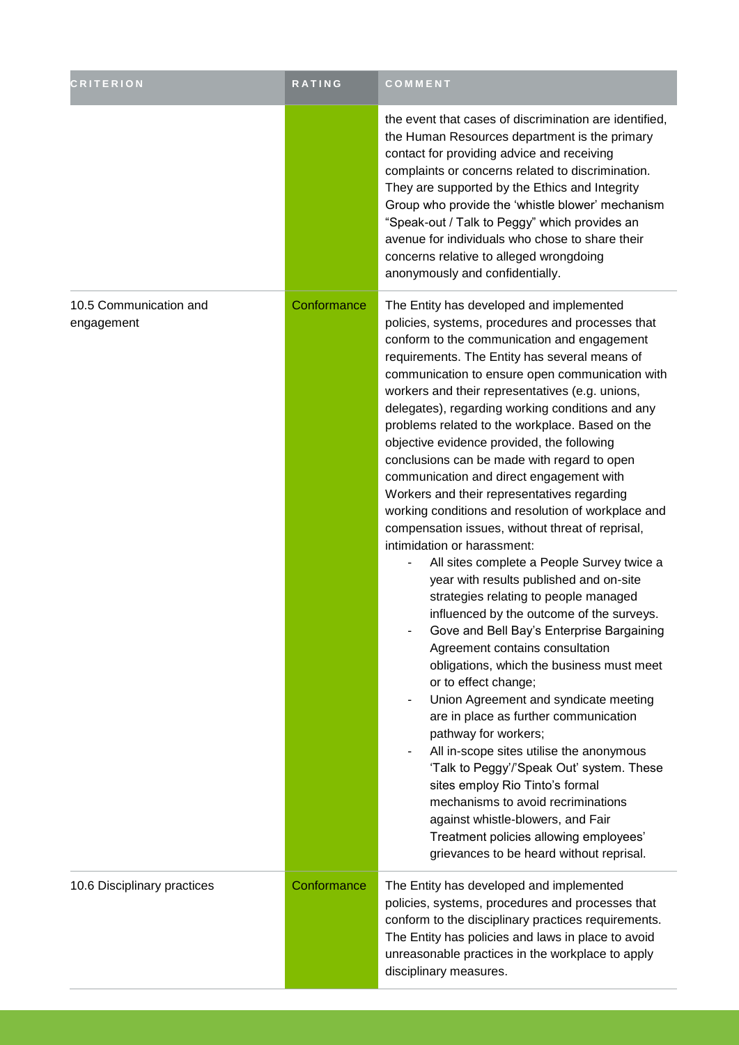| <b>CRITERION</b>                     | <b>RATING</b> | COMMENT                                                                                                                                                                                                                                                                                                                                                                                                                                                                                                                                                                                                                                                                                                                                                                                                                                                                                                                                                                                                                                                                                                                                                                                                                                                                                                                                                                                                                                                                                                           |
|--------------------------------------|---------------|-------------------------------------------------------------------------------------------------------------------------------------------------------------------------------------------------------------------------------------------------------------------------------------------------------------------------------------------------------------------------------------------------------------------------------------------------------------------------------------------------------------------------------------------------------------------------------------------------------------------------------------------------------------------------------------------------------------------------------------------------------------------------------------------------------------------------------------------------------------------------------------------------------------------------------------------------------------------------------------------------------------------------------------------------------------------------------------------------------------------------------------------------------------------------------------------------------------------------------------------------------------------------------------------------------------------------------------------------------------------------------------------------------------------------------------------------------------------------------------------------------------------|
|                                      |               | the event that cases of discrimination are identified,<br>the Human Resources department is the primary<br>contact for providing advice and receiving<br>complaints or concerns related to discrimination.<br>They are supported by the Ethics and Integrity<br>Group who provide the 'whistle blower' mechanism<br>"Speak-out / Talk to Peggy" which provides an<br>avenue for individuals who chose to share their<br>concerns relative to alleged wrongdoing<br>anonymously and confidentially.                                                                                                                                                                                                                                                                                                                                                                                                                                                                                                                                                                                                                                                                                                                                                                                                                                                                                                                                                                                                                |
| 10.5 Communication and<br>engagement | Conformance   | The Entity has developed and implemented<br>policies, systems, procedures and processes that<br>conform to the communication and engagement<br>requirements. The Entity has several means of<br>communication to ensure open communication with<br>workers and their representatives (e.g. unions,<br>delegates), regarding working conditions and any<br>problems related to the workplace. Based on the<br>objective evidence provided, the following<br>conclusions can be made with regard to open<br>communication and direct engagement with<br>Workers and their representatives regarding<br>working conditions and resolution of workplace and<br>compensation issues, without threat of reprisal,<br>intimidation or harassment:<br>All sites complete a People Survey twice a<br>year with results published and on-site<br>strategies relating to people managed<br>influenced by the outcome of the surveys.<br>Gove and Bell Bay's Enterprise Bargaining<br>Agreement contains consultation<br>obligations, which the business must meet<br>or to effect change;<br>Union Agreement and syndicate meeting<br>$\overline{\phantom{a}}$<br>are in place as further communication<br>pathway for workers;<br>All in-scope sites utilise the anonymous<br>'Talk to Peggy'/'Speak Out' system. These<br>sites employ Rio Tinto's formal<br>mechanisms to avoid recriminations<br>against whistle-blowers, and Fair<br>Treatment policies allowing employees'<br>grievances to be heard without reprisal. |
| 10.6 Disciplinary practices          | Conformance   | The Entity has developed and implemented<br>policies, systems, procedures and processes that<br>conform to the disciplinary practices requirements.<br>The Entity has policies and laws in place to avoid<br>unreasonable practices in the workplace to apply<br>disciplinary measures.                                                                                                                                                                                                                                                                                                                                                                                                                                                                                                                                                                                                                                                                                                                                                                                                                                                                                                                                                                                                                                                                                                                                                                                                                           |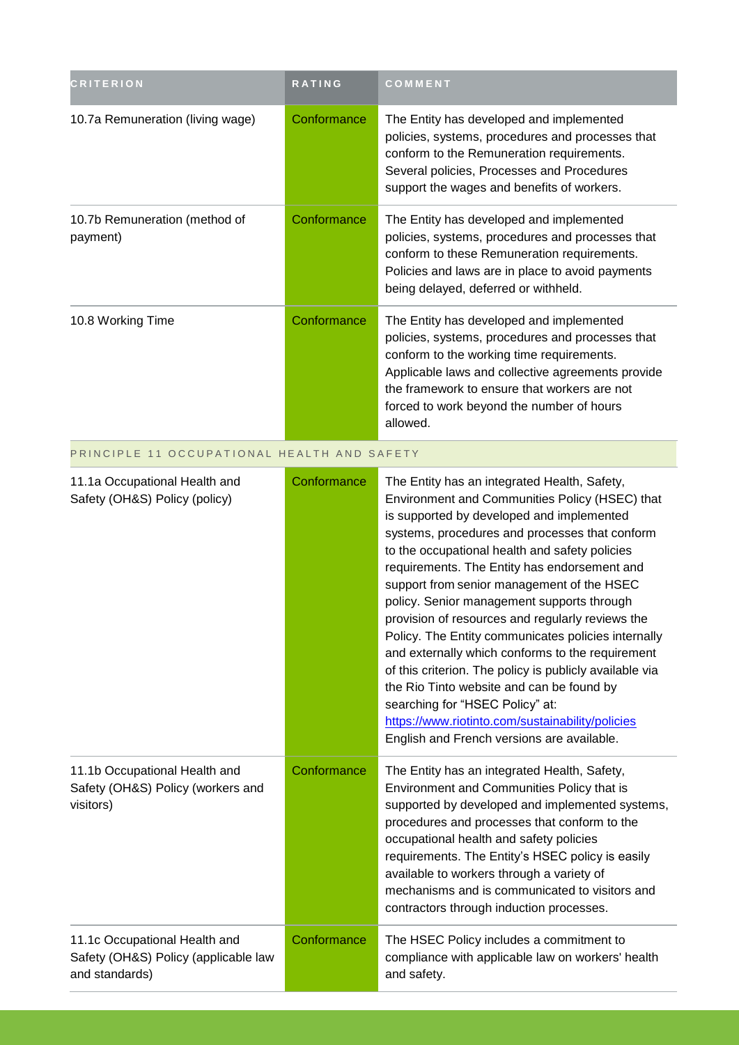| <b>CRITERION</b>                                                                        | <b>RATING</b> | COMMENT                                                                                                                                                                                                                                                                                                                                                                                                                                                                                                                                                                                                                                                                                                                                                                                                 |
|-----------------------------------------------------------------------------------------|---------------|---------------------------------------------------------------------------------------------------------------------------------------------------------------------------------------------------------------------------------------------------------------------------------------------------------------------------------------------------------------------------------------------------------------------------------------------------------------------------------------------------------------------------------------------------------------------------------------------------------------------------------------------------------------------------------------------------------------------------------------------------------------------------------------------------------|
| 10.7a Remuneration (living wage)                                                        | Conformance   | The Entity has developed and implemented<br>policies, systems, procedures and processes that<br>conform to the Remuneration requirements.<br>Several policies, Processes and Procedures<br>support the wages and benefits of workers.                                                                                                                                                                                                                                                                                                                                                                                                                                                                                                                                                                   |
| 10.7b Remuneration (method of<br>payment)                                               | Conformance   | The Entity has developed and implemented<br>policies, systems, procedures and processes that<br>conform to these Remuneration requirements.<br>Policies and laws are in place to avoid payments<br>being delayed, deferred or withheld.                                                                                                                                                                                                                                                                                                                                                                                                                                                                                                                                                                 |
| 10.8 Working Time                                                                       | Conformance   | The Entity has developed and implemented<br>policies, systems, procedures and processes that<br>conform to the working time requirements.<br>Applicable laws and collective agreements provide<br>the framework to ensure that workers are not<br>forced to work beyond the number of hours<br>allowed.                                                                                                                                                                                                                                                                                                                                                                                                                                                                                                 |
| PRINCIPLE 11 OCCUPATIONAL HEALTH AND SAFETY                                             |               |                                                                                                                                                                                                                                                                                                                                                                                                                                                                                                                                                                                                                                                                                                                                                                                                         |
| 11.1a Occupational Health and<br>Safety (OH&S) Policy (policy)                          | Conformance   | The Entity has an integrated Health, Safety,<br>Environment and Communities Policy (HSEC) that<br>is supported by developed and implemented<br>systems, procedures and processes that conform<br>to the occupational health and safety policies<br>requirements. The Entity has endorsement and<br>support from senior management of the HSEC<br>policy. Senior management supports through<br>provision of resources and regularly reviews the<br>Policy. The Entity communicates policies internally<br>and externally which conforms to the requirement<br>of this criterion. The policy is publicly available via<br>the Rio Tinto website and can be found by<br>searching for "HSEC Policy" at:<br>https://www.riotinto.com/sustainability/policies<br>English and French versions are available. |
| 11.1b Occupational Health and<br>Safety (OH&S) Policy (workers and<br>visitors)         | Conformance   | The Entity has an integrated Health, Safety,<br>Environment and Communities Policy that is<br>supported by developed and implemented systems,<br>procedures and processes that conform to the<br>occupational health and safety policies<br>requirements. The Entity's HSEC policy is easily<br>available to workers through a variety of<br>mechanisms and is communicated to visitors and<br>contractors through induction processes.                                                                                                                                                                                                                                                                                                                                                                 |
| 11.1c Occupational Health and<br>Safety (OH&S) Policy (applicable law<br>and standards) | Conformance   | The HSEC Policy includes a commitment to<br>compliance with applicable law on workers' health<br>and safety.                                                                                                                                                                                                                                                                                                                                                                                                                                                                                                                                                                                                                                                                                            |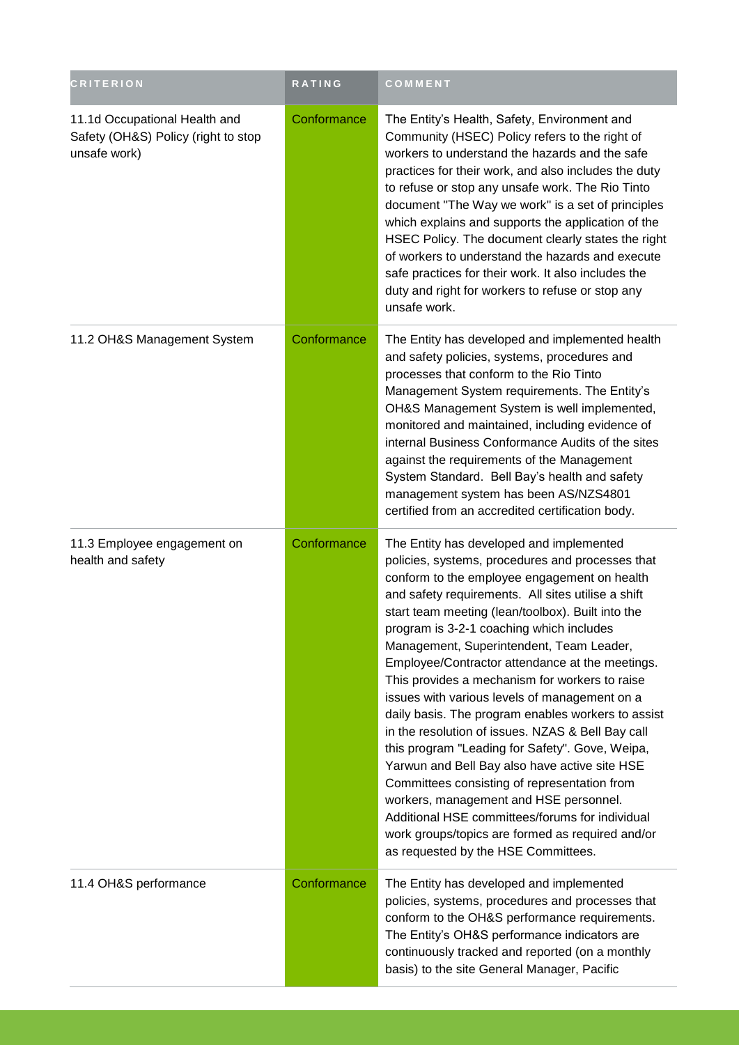| <b>CRITERION</b>                                                                     | RATING      | COMMENT                                                                                                                                                                                                                                                                                                                                                                                                                                                                                                                                                                                                                                                                                                                                                                                                                                                                                                                                                      |
|--------------------------------------------------------------------------------------|-------------|--------------------------------------------------------------------------------------------------------------------------------------------------------------------------------------------------------------------------------------------------------------------------------------------------------------------------------------------------------------------------------------------------------------------------------------------------------------------------------------------------------------------------------------------------------------------------------------------------------------------------------------------------------------------------------------------------------------------------------------------------------------------------------------------------------------------------------------------------------------------------------------------------------------------------------------------------------------|
| 11.1d Occupational Health and<br>Safety (OH&S) Policy (right to stop<br>unsafe work) | Conformance | The Entity's Health, Safety, Environment and<br>Community (HSEC) Policy refers to the right of<br>workers to understand the hazards and the safe<br>practices for their work, and also includes the duty<br>to refuse or stop any unsafe work. The Rio Tinto<br>document "The Way we work" is a set of principles<br>which explains and supports the application of the<br>HSEC Policy. The document clearly states the right<br>of workers to understand the hazards and execute<br>safe practices for their work. It also includes the<br>duty and right for workers to refuse or stop any<br>unsafe work.                                                                                                                                                                                                                                                                                                                                                 |
| 11.2 OH&S Management System                                                          | Conformance | The Entity has developed and implemented health<br>and safety policies, systems, procedures and<br>processes that conform to the Rio Tinto<br>Management System requirements. The Entity's<br>OH&S Management System is well implemented,<br>monitored and maintained, including evidence of<br>internal Business Conformance Audits of the sites<br>against the requirements of the Management<br>System Standard. Bell Bay's health and safety<br>management system has been AS/NZS4801<br>certified from an accredited certification body.                                                                                                                                                                                                                                                                                                                                                                                                                |
| 11.3 Employee engagement on<br>health and safety                                     | Conformance | The Entity has developed and implemented<br>policies, systems, procedures and processes that<br>conform to the employee engagement on health<br>and safety requirements. All sites utilise a shift<br>start team meeting (lean/toolbox). Built into the<br>program is 3-2-1 coaching which includes<br>Management, Superintendent, Team Leader,<br>Employee/Contractor attendance at the meetings.<br>This provides a mechanism for workers to raise<br>issues with various levels of management on a<br>daily basis. The program enables workers to assist<br>in the resolution of issues. NZAS & Bell Bay call<br>this program "Leading for Safety". Gove, Weipa,<br>Yarwun and Bell Bay also have active site HSE<br>Committees consisting of representation from<br>workers, management and HSE personnel.<br>Additional HSE committees/forums for individual<br>work groups/topics are formed as required and/or<br>as requested by the HSE Committees. |
| 11.4 OH&S performance                                                                | Conformance | The Entity has developed and implemented<br>policies, systems, procedures and processes that<br>conform to the OH&S performance requirements.<br>The Entity's OH&S performance indicators are<br>continuously tracked and reported (on a monthly<br>basis) to the site General Manager, Pacific                                                                                                                                                                                                                                                                                                                                                                                                                                                                                                                                                                                                                                                              |